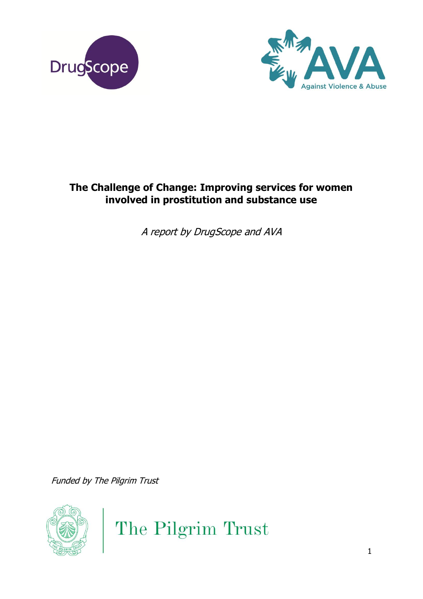



# **The Challenge of Change: Improving services for women involved in prostitution and substance use**

A report by DrugScope and AVA

Funded by The Pilgrim Trust



The Pilgrim Trust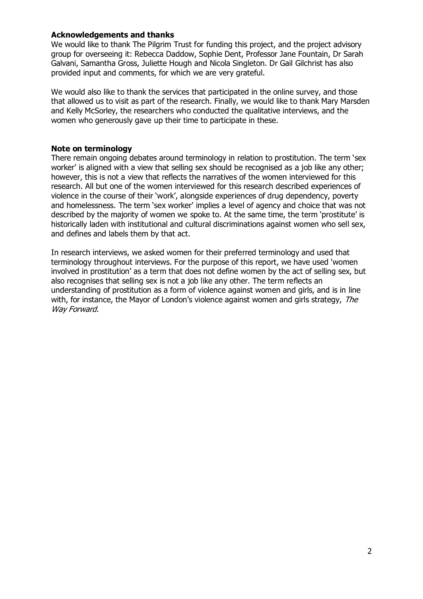#### **Acknowledgements and thanks**

We would like to thank The Pilgrim Trust for funding this project, and the project advisory group for overseeing it: Rebecca Daddow, Sophie Dent, Professor Jane Fountain, Dr Sarah Galvani, Samantha Gross, Juliette Hough and Nicola Singleton. Dr Gail Gilchrist has also provided input and comments, for which we are very grateful.

We would also like to thank the services that participated in the online survey, and those that allowed us to visit as part of the research. Finally, we would like to thank Mary Marsden and Kelly McSorley, the researchers who conducted the qualitative interviews, and the women who generously gave up their time to participate in these.

#### **Note on terminology**

There remain ongoing debates around terminology in relation to prostitution. The term 'sex worker' is aligned with a view that selling sex should be recognised as a job like any other: however, this is not a view that reflects the narratives of the women interviewed for this research. All but one of the women interviewed for this research described experiences of violence in the course of their 'work', alongside experiences of drug dependency, poverty and homelessness. The term 'sex worker' implies a level of agency and choice that was not described by the majority of women we spoke to. At the same time, the term 'prostitute' is historically laden with institutional and cultural discriminations against women who sell sex, and defines and labels them by that act.

In research interviews, we asked women for their preferred terminology and used that terminology throughout interviews. For the purpose of this report, we have used 'women involved in prostitution' as a term that does not define women by the act of selling sex, but also recognises that selling sex is not a job like any other. The term reflects an understanding of prostitution as a form of violence against women and girls, and is in line with, for instance, the Mayor of London's violence against women and girls strategy, The Way Forward.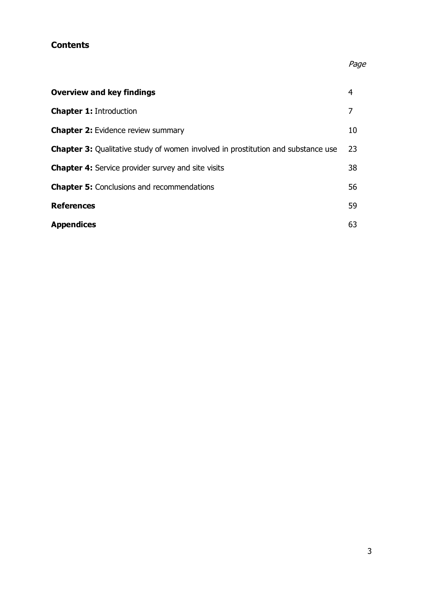# **Contents**

# Page

| <b>Overview and key findings</b>                                                        | 4  |
|-----------------------------------------------------------------------------------------|----|
| <b>Chapter 1: Introduction</b>                                                          |    |
| <b>Chapter 2:</b> Evidence review summary                                               | 10 |
| <b>Chapter 3:</b> Qualitative study of women involved in prostitution and substance use | 23 |
| <b>Chapter 4:</b> Service provider survey and site visits                               | 38 |
| <b>Chapter 5:</b> Conclusions and recommendations                                       | 56 |
| <b>References</b>                                                                       | 59 |
| <b>Appendices</b>                                                                       | 63 |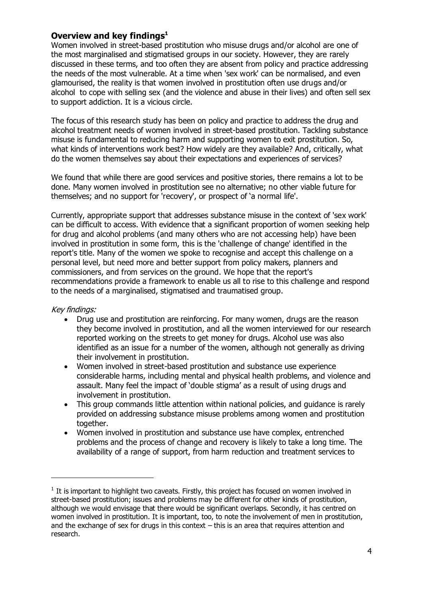# **Overview and key findings<sup>1</sup>**

Women involved in street-based prostitution who misuse drugs and/or alcohol are one of the most marginalised and stigmatised groups in our society. However, they are rarely discussed in these terms, and too often they are absent from policy and practice addressing the needs of the most vulnerable. At a time when 'sex work' can be normalised, and even glamourised, the reality is that women involved in prostitution often use drugs and/or alcohol to cope with selling sex (and the violence and abuse in their lives) and often sell sex to support addiction. It is a vicious circle.

The focus of this research study has been on policy and practice to address the drug and alcohol treatment needs of women involved in street-based prostitution. Tackling substance misuse is fundamental to reducing harm and supporting women to exit prostitution. So, what kinds of interventions work best? How widely are they available? And, critically, what do the women themselves say about their expectations and experiences of services?

We found that while there are good services and positive stories, there remains a lot to be done. Many women involved in prostitution see no alternative; no other viable future for themselves; and no support for 'recovery', or prospect of 'a normal life'.

Currently, appropriate support that addresses substance misuse in the context of 'sex work' can be difficult to access. With evidence that a significant proportion of women seeking help for drug and alcohol problems (and many others who are not accessing help) have been involved in prostitution in some form, this is the 'challenge of change' identified in the report's title. Many of the women we spoke to recognise and accept this challenge on a personal level, but need more and better support from policy makers, planners and commissioners, and from services on the ground. We hope that the report's recommendations provide a framework to enable us all to rise to this challenge and respond to the needs of a marginalised, stigmatised and traumatised group.

#### Key findings:

-

- Drug use and prostitution are reinforcing. For many women, drugs are the reason they become involved in prostitution, and all the women interviewed for our research reported working on the streets to get money for drugs. Alcohol use was also identified as an issue for a number of the women, although not generally as driving their involvement in prostitution.
- Women involved in street-based prostitution and substance use experience considerable harms, including mental and physical health problems, and violence and assault. Many feel the impact of 'double stigma' as a result of using drugs and involvement in prostitution.
- This group commands little attention within national policies, and guidance is rarely provided on addressing substance misuse problems among women and prostitution together.
- Women involved in prostitution and substance use have complex, entrenched problems and the process of change and recovery is likely to take a long time. The availability of a range of support, from harm reduction and treatment services to

 $<sup>1</sup>$  It is important to highlight two caveats. Firstly, this project has focused on women involved in</sup> street-based prostitution; issues and problems may be different for other kinds of prostitution, although we would envisage that there would be significant overlaps. Secondly, it has centred on women involved in prostitution. It is important, too, to note the involvement of men in prostitution, and the exchange of sex for drugs in this context – this is an area that requires attention and research.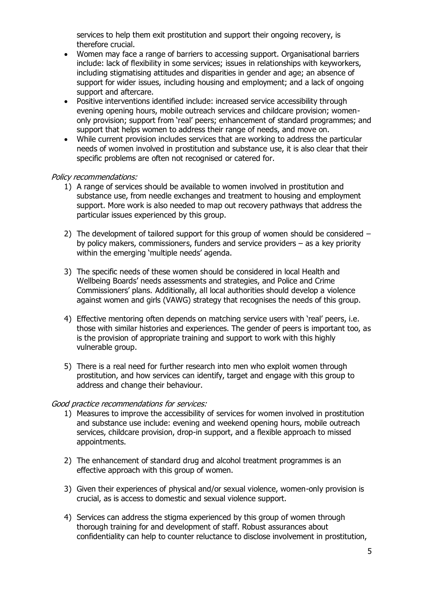services to help them exit prostitution and support their ongoing recovery, is therefore crucial.

- Women may face a range of barriers to accessing support. Organisational barriers include: lack of flexibility in some services; issues in relationships with keyworkers, including stigmatising attitudes and disparities in gender and age; an absence of support for wider issues, including housing and employment; and a lack of ongoing support and aftercare.
- Positive interventions identified include: increased service accessibility through evening opening hours, mobile outreach services and childcare provision; womenonly provision; support from 'real' peers; enhancement of standard programmes; and support that helps women to address their range of needs, and move on.
- While current provision includes services that are working to address the particular needs of women involved in prostitution and substance use, it is also clear that their specific problems are often not recognised or catered for.

#### Policy recommendations:

- 1) A range of services should be available to women involved in prostitution and substance use, from needle exchanges and treatment to housing and employment support. More work is also needed to map out recovery pathways that address the particular issues experienced by this group.
- 2) The development of tailored support for this group of women should be considered by policy makers, commissioners, funders and service providers – as a key priority within the emerging 'multiple needs' agenda.
- 3) The specific needs of these women should be considered in local Health and Wellbeing Boards' needs assessments and strategies, and Police and Crime Commissioners' plans. Additionally, all local authorities should develop a violence against women and girls (VAWG) strategy that recognises the needs of this group.
- 4) Effective mentoring often depends on matching service users with 'real' peers, i.e. those with similar histories and experiences. The gender of peers is important too, as is the provision of appropriate training and support to work with this highly vulnerable group.
- 5) There is a real need for further research into men who exploit women through prostitution, and how services can identify, target and engage with this group to address and change their behaviour.

#### Good practice recommendations for services:

- 1) Measures to improve the accessibility of services for women involved in prostitution and substance use include: evening and weekend opening hours, mobile outreach services, childcare provision, drop-in support, and a flexible approach to missed appointments.
- 2) The enhancement of standard drug and alcohol treatment programmes is an effective approach with this group of women.
- 3) Given their experiences of physical and/or sexual violence, women-only provision is crucial, as is access to domestic and sexual violence support.
- 4) Services can address the stigma experienced by this group of women through thorough training for and development of staff. Robust assurances about confidentiality can help to counter reluctance to disclose involvement in prostitution,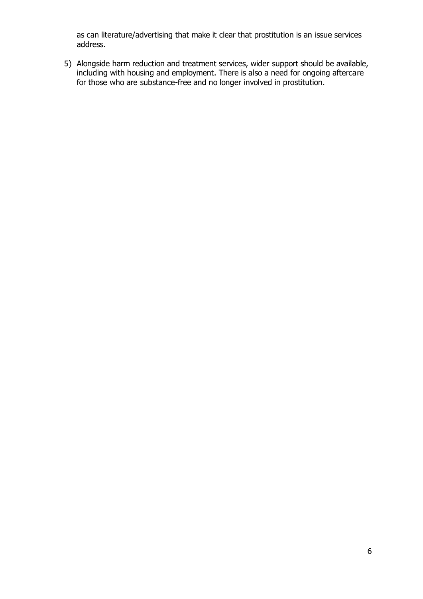as can literature/advertising that make it clear that prostitution is an issue services address.

5) Alongside harm reduction and treatment services, wider support should be available, including with housing and employment. There is also a need for ongoing aftercare for those who are substance-free and no longer involved in prostitution.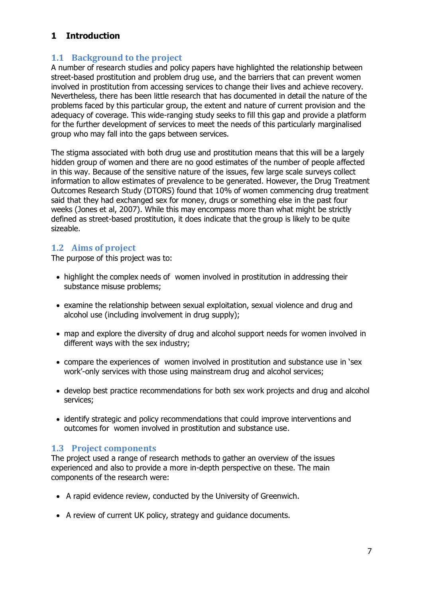# **1 Introduction**

# **1.1 Background to the project**

A number of research studies and policy papers have highlighted the relationship between street-based prostitution and problem drug use, and the barriers that can prevent women involved in prostitution from accessing services to change their lives and achieve recovery. Nevertheless, there has been little research that has documented in detail the nature of the problems faced by this particular group, the extent and nature of current provision and the adequacy of coverage. This wide-ranging study seeks to fill this gap and provide a platform for the further development of services to meet the needs of this particularly marginalised group who may fall into the gaps between services.

The stigma associated with both drug use and prostitution means that this will be a largely hidden group of women and there are no good estimates of the number of people affected in this way. Because of the sensitive nature of the issues, few large scale surveys collect information to allow estimates of prevalence to be generated. However, the Drug Treatment Outcomes Research Study (DTORS) found that 10% of women commencing drug treatment said that they had exchanged sex for money, drugs or something else in the past four weeks (Jones et al, 2007). While this may encompass more than what might be strictly defined as street-based prostitution, it does indicate that the group is likely to be quite sizeable.

# **1.2 Aims of project**

The purpose of this project was to:

- highlight the complex needs of women involved in prostitution in addressing their substance misuse problems;
- examine the relationship between sexual exploitation, sexual violence and drug and alcohol use (including involvement in drug supply);
- map and explore the diversity of drug and alcohol support needs for women involved in different ways with the sex industry;
- compare the experiences of women involved in prostitution and substance use in 'sex work'-only services with those using mainstream drug and alcohol services;
- develop best practice recommendations for both sex work projects and drug and alcohol services;
- identify strategic and policy recommendations that could improve interventions and outcomes for women involved in prostitution and substance use.

# **1.3 Project components**

The project used a range of research methods to gather an overview of the issues experienced and also to provide a more in-depth perspective on these. The main components of the research were:

- A rapid evidence review, conducted by the University of Greenwich.
- A review of current UK policy, strategy and guidance documents.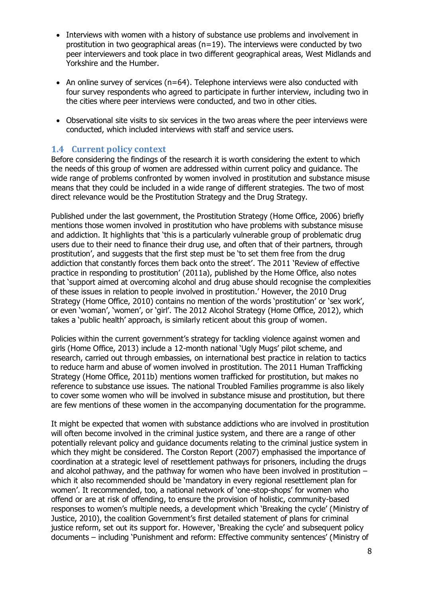- Interviews with women with a history of substance use problems and involvement in prostitution in two geographical areas ( $n=19$ ). The interviews were conducted by two peer interviewers and took place in two different geographical areas, West Midlands and Yorkshire and the Humber.
- An online survey of services ( $n=64$ ). Telephone interviews were also conducted with four survey respondents who agreed to participate in further interview, including two in the cities where peer interviews were conducted, and two in other cities.
- Observational site visits to six services in the two areas where the peer interviews were conducted, which included interviews with staff and service users.

# **1.4 Current policy context**

Before considering the findings of the research it is worth considering the extent to which the needs of this group of women are addressed within current policy and guidance. The wide range of problems confronted by women involved in prostitution and substance misuse means that they could be included in a wide range of different strategies. The two of most direct relevance would be the Prostitution Strategy and the Drug Strategy.

Published under the last government, the Prostitution Strategy (Home Office, 2006) briefly mentions those women involved in prostitution who have problems with substance misuse and addiction. It highlights that 'this is a particularly vulnerable group of problematic drug users due to their need to finance their drug use, and often that of their partners, through prostitution', and suggests that the first step must be 'to set them free from the drug addiction that constantly forces them back onto the street'. The 2011 'Review of effective practice in responding to prostitution' (2011a), published by the Home Office, also notes that 'support aimed at overcoming alcohol and drug abuse should recognise the complexities of these issues in relation to people involved in prostitution.' However, the 2010 Drug Strategy (Home Office, 2010) contains no mention of the words 'prostitution' or 'sex work', or even 'woman', 'women', or 'girl'. The 2012 Alcohol Strategy (Home Office, 2012), which takes a 'public health' approach, is similarly reticent about this group of women.

Policies within the current government's strategy for tackling violence against women and girls (Home Office, 2013) include a 12-month national 'Ugly Mugs' pilot scheme, and research, carried out through embassies, on international best practice in relation to tactics to reduce harm and abuse of women involved in prostitution. The 2011 Human Trafficking Strategy (Home Office, 2011b) mentions women trafficked for prostitution, but makes no reference to substance use issues. The national Troubled Families programme is also likely to cover some women who will be involved in substance misuse and prostitution, but there are few mentions of these women in the accompanying documentation for the programme.

It might be expected that women with substance addictions who are involved in prostitution will often become involved in the criminal justice system, and there are a range of other potentially relevant policy and guidance documents relating to the criminal justice system in which they might be considered. The Corston Report (2007) emphasised the importance of coordination at a strategic level of resettlement pathways for prisoners, including the drugs and alcohol pathway, and the pathway for women who have been involved in prostitution  $$ which it also recommended should be 'mandatory in every regional resettlement plan for women'. It recommended, too, a national network of 'one-stop-shops' for women who offend or are at risk of offending, to ensure the provision of holistic, community-based responses to women's multiple needs, a development which 'Breaking the cycle' (Ministry of Justice, 2010), the coalition Government's first detailed statement of plans for criminal justice reform, set out its support for. However, 'Breaking the cycle' and subsequent policy documents – including 'Punishment and reform: Effective community sentences' (Ministry of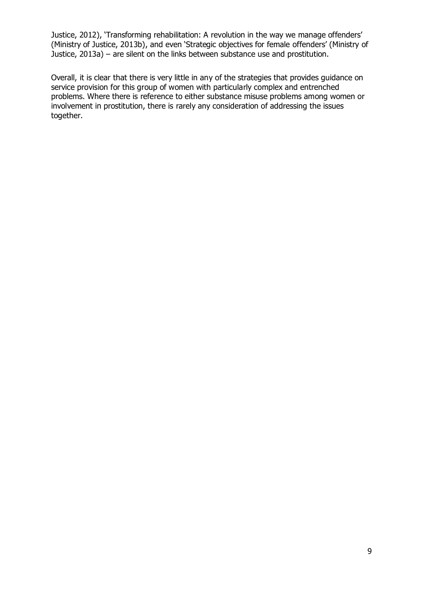Justice, 2012), 'Transforming rehabilitation: A revolution in the way we manage offenders' (Ministry of Justice, 2013b), and even 'Strategic objectives for female offenders' (Ministry of Justice, 2013a) – are silent on the links between substance use and prostitution.

Overall, it is clear that there is very little in any of the strategies that provides guidance on service provision for this group of women with particularly complex and entrenched problems. Where there is reference to either substance misuse problems among women or involvement in prostitution, there is rarely any consideration of addressing the issues together.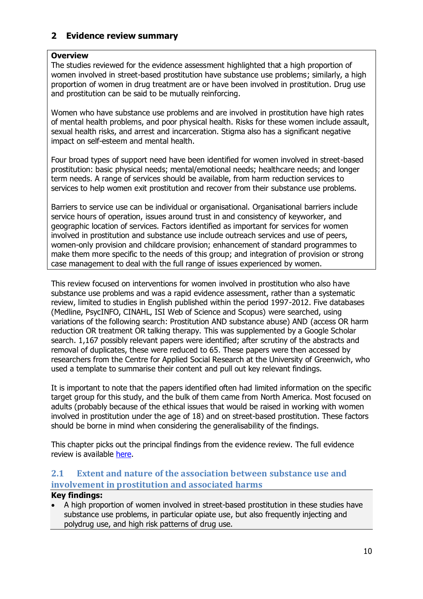# **2 Evidence review summary**

### **Overview**

The studies reviewed for the evidence assessment highlighted that a high proportion of women involved in street-based prostitution have substance use problems; similarly, a high proportion of women in drug treatment are or have been involved in prostitution. Drug use and prostitution can be said to be mutually reinforcing.

Women who have substance use problems and are involved in prostitution have high rates of mental health problems, and poor physical health. Risks for these women include assault, sexual health risks, and arrest and incarceration. Stigma also has a significant negative impact on self-esteem and mental health.

Four broad types of support need have been identified for women involved in street-based prostitution: basic physical needs; mental/emotional needs; healthcare needs; and longer term needs. A range of services should be available, from harm reduction services to services to help women exit prostitution and recover from their substance use problems.

Barriers to service use can be individual or organisational. Organisational barriers include service hours of operation, issues around trust in and consistency of keyworker, and geographic location of services. Factors identified as important for services for women involved in prostitution and substance use include outreach services and use of peers, women-only provision and childcare provision; enhancement of standard programmes to make them more specific to the needs of this group; and integration of provision or strong case management to deal with the full range of issues experienced by women.

This review focused on interventions for women involved in prostitution who also have substance use problems and was a rapid evidence assessment, rather than a systematic review, limited to studies in English published within the period 1997-2012. Five databases (Medline, PsycINFO, CINAHL, ISI Web of Science and Scopus) were searched, using variations of the following search: Prostitution AND substance abuse) AND (access OR harm reduction OR treatment OR talking therapy. This was supplemented by a Google Scholar search. 1,167 possibly relevant papers were identified; after scrutiny of the abstracts and removal of duplicates, these were reduced to 65. These papers were then accessed by researchers from the Centre for Applied Social Research at the University of Greenwich, who used a template to summarise their content and pull out key relevant findings.

It is important to note that the papers identified often had limited information on the specific target group for this study, and the bulk of them came from North America. Most focused on adults (probably because of the ethical issues that would be raised in working with women involved in prostitution under the age of 18) and on street-based prostitution. These factors should be borne in mind when considering the generalisability of the findings.

This chapter picks out the principal findings from the evidence review. The full evidence review is available [here.](http://www.drugscope.org.uk/Resources/Drugscope/Documents/PDF/Policy/Challengeofchangerapidevidenceassessment.pdf)

# **2.1 Extent and nature of the association between substance use and involvement in prostitution and associated harms**

### **Key findings:**

 A high proportion of women involved in street-based prostitution in these studies have substance use problems, in particular opiate use, but also frequently injecting and polydrug use, and high risk patterns of drug use.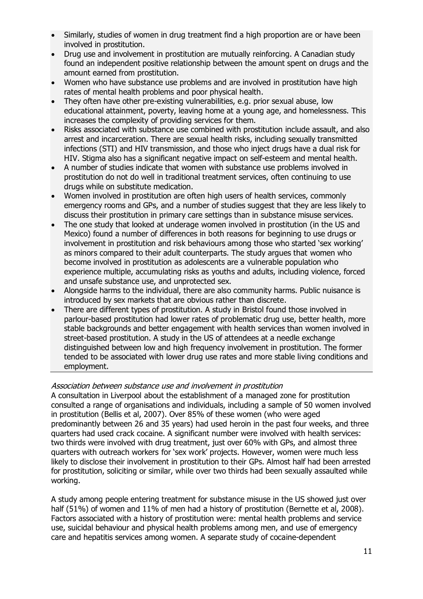- Similarly, studies of women in drug treatment find a high proportion are or have been involved in prostitution.
- Drug use and involvement in prostitution are mutually reinforcing. A Canadian study found an independent positive relationship between the amount spent on drugs and the amount earned from prostitution.
- Women who have substance use problems and are involved in prostitution have high rates of mental health problems and poor physical health.
- They often have other pre-existing vulnerabilities, e.g. prior sexual abuse, low educational attainment, poverty, leaving home at a young age, and homelessness. This increases the complexity of providing services for them.
- Risks associated with substance use combined with prostitution include assault, and also arrest and incarceration. There are sexual health risks, including sexually transmitted infections (STI) and HIV transmission, and those who inject drugs have a dual risk for HIV. Stigma also has a significant negative impact on self-esteem and mental health.
- A number of studies indicate that women with substance use problems involved in prostitution do not do well in traditional treatment services, often continuing to use drugs while on substitute medication.
- Women involved in prostitution are often high users of health services, commonly emergency rooms and GPs, and a number of studies suggest that they are less likely to discuss their prostitution in primary care settings than in substance misuse services.
- The one study that looked at underage women involved in prostitution (in the US and Mexico) found a number of differences in both reasons for beginning to use drugs or involvement in prostitution and risk behaviours among those who started 'sex working' as minors compared to their adult counterparts. The study argues that women who become involved in prostitution as adolescents are a vulnerable population who experience multiple, accumulating risks as youths and adults, including violence, forced and unsafe substance use, and unprotected sex.
- Alongside harms to the individual, there are also community harms. Public nuisance is introduced by sex markets that are obvious rather than discrete.
- There are different types of prostitution. A study in Bristol found those involved in parlour-based prostitution had lower rates of problematic drug use, better health, more stable backgrounds and better engagement with health services than women involved in street-based prostitution. A study in the US of attendees at a needle exchange distinguished between low and high frequency involvement in prostitution. The former tended to be associated with lower drug use rates and more stable living conditions and employment.

### Association between substance use and involvement in prostitution

A consultation in Liverpool about the establishment of a managed zone for prostitution consulted a range of organisations and individuals, including a sample of 50 women involved in prostitution (Bellis et al, 2007). Over 85% of these women (who were aged predominantly between 26 and 35 years) had used heroin in the past four weeks, and three quarters had used crack cocaine. A significant number were involved with health services: two thirds were involved with drug treatment, just over 60% with GPs, and almost three quarters with outreach workers for 'sex work' projects. However, women were much less likely to disclose their involvement in prostitution to their GPs. Almost half had been arrested for prostitution, soliciting or similar, while over two thirds had been sexually assaulted while working.

A study among people entering treatment for substance misuse in the US showed just over half (51%) of women and 11% of men had a history of prostitution (Bernette et al, 2008). Factors associated with a history of prostitution were: mental health problems and service use, suicidal behaviour and physical health problems among men, and use of emergency care and hepatitis services among women. A separate study of cocaine-dependent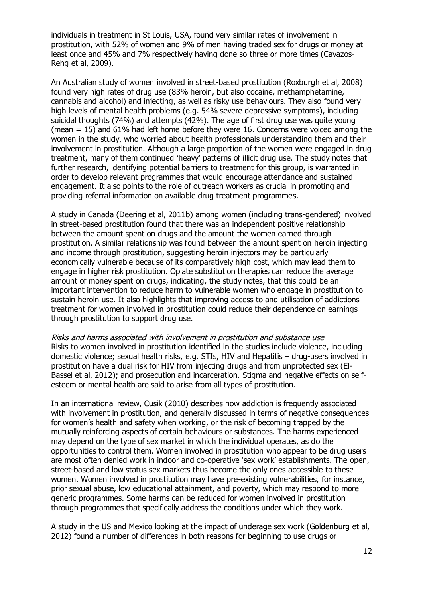individuals in treatment in St Louis, USA, found very similar rates of involvement in prostitution, with 52% of women and 9% of men having traded sex for drugs or money at least once and 45% and 7% respectively having done so three or more times (Cavazos-Rehg et al, 2009).

An Australian study of women involved in street-based prostitution (Roxburgh et al, 2008) found very high rates of drug use (83% heroin, but also cocaine, methamphetamine, cannabis and alcohol) and injecting, as well as risky use behaviours. They also found very high levels of mental health problems (e.g. 54% severe depressive symptoms), including suicidal thoughts (74%) and attempts (42%). The age of first drug use was quite young (mean = 15) and 61% had left home before they were 16. Concerns were voiced among the women in the study, who worried about health professionals understanding them and their involvement in prostitution. Although a large proportion of the women were engaged in drug treatment, many of them continued 'heavy' patterns of illicit drug use. The study notes that further research, identifying potential barriers to treatment for this group, is warranted in order to develop relevant programmes that would encourage attendance and sustained engagement. It also points to the role of outreach workers as crucial in promoting and providing referral information on available drug treatment programmes.

A study in Canada (Deering et al, 2011b) among women (including trans-gendered) involved in street-based prostitution found that there was an independent positive relationship between the amount spent on drugs and the amount the women earned through prostitution. A similar relationship was found between the amount spent on heroin injecting and income through prostitution, suggesting heroin injectors may be particularly economically vulnerable because of its comparatively high cost, which may lead them to engage in higher risk prostitution. Opiate substitution therapies can reduce the average amount of money spent on drugs, indicating, the study notes, that this could be an important intervention to reduce harm to vulnerable women who engage in prostitution to sustain heroin use. It also highlights that improving access to and utilisation of addictions treatment for women involved in prostitution could reduce their dependence on earnings through prostitution to support drug use.

Risks and harms associated with involvement in prostitution and substance use Risks to women involved in prostitution identified in the studies include violence, including domestic violence; sexual health risks, e.g. STIs, HIV and Hepatitis – drug-users involved in prostitution have a dual risk for HIV from injecting drugs and from unprotected sex (El-Bassel et al, 2012); and prosecution and incarceration. Stigma and negative effects on selfesteem or mental health are said to arise from all types of prostitution.

In an international review, Cusik (2010) describes how addiction is frequently associated with involvement in prostitution, and generally discussed in terms of negative consequences for women's health and safety when working, or the risk of becoming trapped by the mutually reinforcing aspects of certain behaviours or substances. The harms experienced may depend on the type of sex market in which the individual operates, as do the opportunities to control them. Women involved in prostitution who appear to be drug users are most often denied work in indoor and co-operative 'sex work' establishments. The open, street-based and low status sex markets thus become the only ones accessible to these women. Women involved in prostitution may have pre-existing vulnerabilities, for instance, prior sexual abuse, low educational attainment, and poverty, which may respond to more generic programmes. Some harms can be reduced for women involved in prostitution through programmes that specifically address the conditions under which they work.

A study in the US and Mexico looking at the impact of underage sex work (Goldenburg et al, 2012) found a number of differences in both reasons for beginning to use drugs or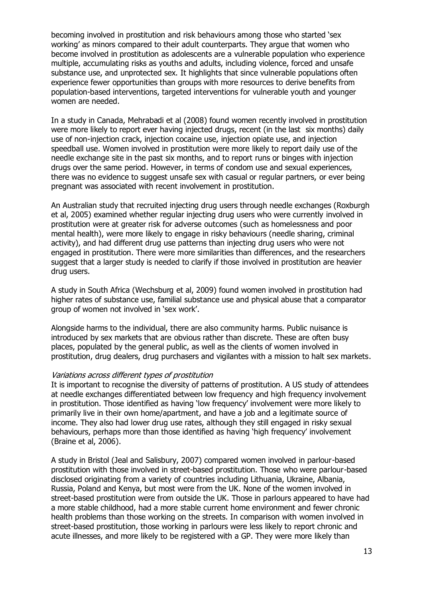becoming involved in prostitution and risk behaviours among those who started 'sex working' as minors compared to their adult counterparts. They argue that women who become involved in prostitution as adolescents are a vulnerable population who experience multiple, accumulating risks as youths and adults, including violence, forced and unsafe substance use, and unprotected sex. It highlights that since vulnerable populations often experience fewer opportunities than groups with more resources to derive benefits from population-based interventions, targeted interventions for vulnerable youth and younger women are needed.

In a study in Canada, Mehrabadi et al (2008) found women recently involved in prostitution were more likely to report ever having injected drugs, recent (in the last six months) daily use of non-injection crack, injection cocaine use, injection opiate use, and injection speedball use. Women involved in prostitution were more likely to report daily use of the needle exchange site in the past six months, and to report runs or binges with injection drugs over the same period. However, in terms of condom use and sexual experiences, there was no evidence to suggest unsafe sex with casual or regular partners, or ever being pregnant was associated with recent involvement in prostitution.

An Australian study that recruited injecting drug users through needle exchanges (Roxburgh et al, 2005) examined whether regular injecting drug users who were currently involved in prostitution were at greater risk for adverse outcomes (such as homelessness and poor mental health), were more likely to engage in risky behaviours (needle sharing, criminal activity), and had different drug use patterns than injecting drug users who were not engaged in prostitution. There were more similarities than differences, and the researchers suggest that a larger study is needed to clarify if those involved in prostitution are heavier drug users.

A study in South Africa (Wechsburg et al, 2009) found women involved in prostitution had higher rates of substance use, familial substance use and physical abuse that a comparator group of women not involved in 'sex work'.

Alongside harms to the individual, there are also community harms. Public nuisance is introduced by sex markets that are obvious rather than discrete. These are often busy places, populated by the general public, as well as the clients of women involved in prostitution, drug dealers, drug purchasers and vigilantes with a mission to halt sex markets.

#### Variations across different types of prostitution

It is important to recognise the diversity of patterns of prostitution. A US study of attendees at needle exchanges differentiated between low frequency and high frequency involvement in prostitution. Those identified as having 'low frequency' involvement were more likely to primarily live in their own home/apartment, and have a job and a legitimate source of income. They also had lower drug use rates, although they still engaged in risky sexual behaviours, perhaps more than those identified as having 'high frequency' involvement (Braine et al, 2006).

A study in Bristol (Jeal and Salisbury, 2007) compared women involved in parlour-based prostitution with those involved in street-based prostitution. Those who were parlour-based disclosed originating from a variety of countries including Lithuania, Ukraine, Albania, Russia, Poland and Kenya, but most were from the UK. None of the women involved in street-based prostitution were from outside the UK. Those in parlours appeared to have had a more stable childhood, had a more stable current home environment and fewer chronic health problems than those working on the streets. In comparison with women involved in street-based prostitution, those working in parlours were less likely to report chronic and acute illnesses, and more likely to be registered with a GP. They were more likely than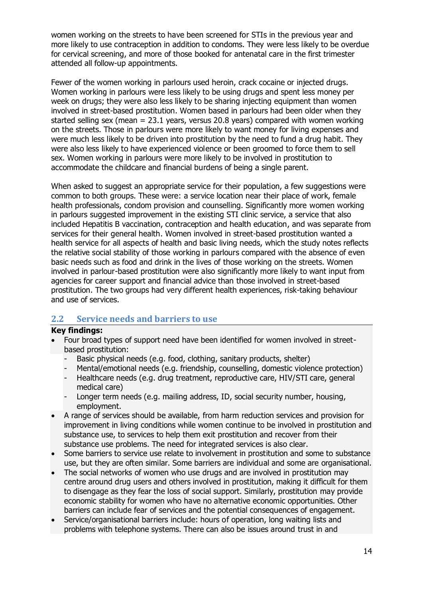women working on the streets to have been screened for STIs in the previous year and more likely to use contraception in addition to condoms. They were less likely to be overdue for cervical screening, and more of those booked for antenatal care in the first trimester attended all follow-up appointments.

Fewer of the women working in parlours used heroin, crack cocaine or injected drugs. Women working in parlours were less likely to be using drugs and spent less money per week on drugs; they were also less likely to be sharing injecting equipment than women involved in street-based prostitution. Women based in parlours had been older when they started selling sex (mean = 23.1 years, versus 20.8 years) compared with women working on the streets. Those in parlours were more likely to want money for living expenses and were much less likely to be driven into prostitution by the need to fund a drug habit. They were also less likely to have experienced violence or been groomed to force them to sell sex. Women working in parlours were more likely to be involved in prostitution to accommodate the childcare and financial burdens of being a single parent.

When asked to suggest an appropriate service for their population, a few suggestions were common to both groups. These were: a service location near their place of work, female health professionals, condom provision and counselling. Significantly more women working in parlours suggested improvement in the existing STI clinic service, a service that also included Hepatitis B vaccination, contraception and health education, and was separate from services for their general health. Women involved in street-based prostitution wanted a health service for all aspects of health and basic living needs, which the study notes reflects the relative social stability of those working in parlours compared with the absence of even basic needs such as food and drink in the lives of those working on the streets. Women involved in parlour-based prostitution were also significantly more likely to want input from agencies for career support and financial advice than those involved in street-based prostitution. The two groups had very different health experiences, risk-taking behaviour and use of services.

# **2.2 Service needs and barriers to use**

### **Key findings:**

- Four broad types of support need have been identified for women involved in streetbased prostitution:
	- Basic physical needs (e.g. food, clothing, sanitary products, shelter)
	- Mental/emotional needs (e.g. friendship, counselling, domestic violence protection)
	- Healthcare needs (e.g. drug treatment, reproductive care, HIV/STI care, general medical care)
	- Longer term needs (e.g. mailing address, ID, social security number, housing, employment.
- A range of services should be available, from harm reduction services and provision for improvement in living conditions while women continue to be involved in prostitution and substance use, to services to help them exit prostitution and recover from their substance use problems. The need for integrated services is also clear.
- Some barriers to service use relate to involvement in prostitution and some to substance use, but they are often similar. Some barriers are individual and some are organisational.
- The social networks of women who use drugs and are involved in prostitution may centre around drug users and others involved in prostitution, making it difficult for them to disengage as they fear the loss of social support. Similarly, prostitution may provide economic stability for women who have no alternative economic opportunities. Other barriers can include fear of services and the potential consequences of engagement.
- Service/organisational barriers include: hours of operation, long waiting lists and problems with telephone systems. There can also be issues around trust in and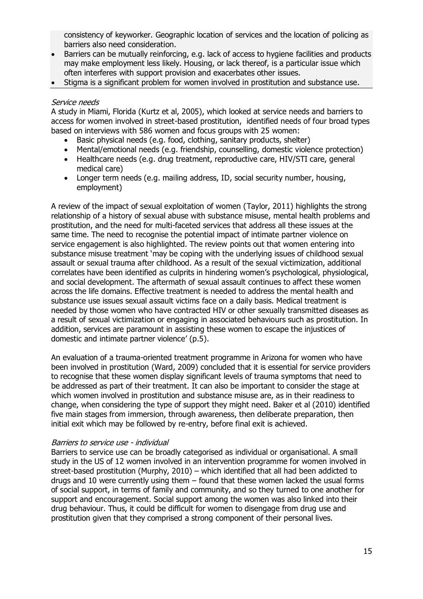consistency of keyworker. Geographic location of services and the location of policing as barriers also need consideration.

- Barriers can be mutually reinforcing, e.g. lack of access to hygiene facilities and products may make employment less likely. Housing, or lack thereof, is a particular issue which often interferes with support provision and exacerbates other issues.
- Stigma is a significant problem for women involved in prostitution and substance use.

#### Service needs

A study in Miami, Florida (Kurtz et al, 2005), which looked at service needs and barriers to access for women involved in street-based prostitution, identified needs of four broad types based on interviews with 586 women and focus groups with 25 women:

- Basic physical needs (e.g. food, clothing, sanitary products, shelter)
- Mental/emotional needs (e.g. friendship, counselling, domestic violence protection)
- Healthcare needs (e.g. drug treatment, reproductive care, HIV/STI care, general medical care)
- Longer term needs (e.g. mailing address, ID, social security number, housing, employment)

A review of the impact of sexual exploitation of women (Taylor, 2011) highlights the strong relationship of a history of sexual abuse with substance misuse, mental health problems and prostitution, and the need for multi-faceted services that address all these issues at the same time. The need to recognise the potential impact of intimate partner violence on service engagement is also highlighted. The review points out that women entering into substance misuse treatment 'may be coping with the underlying issues of childhood sexual assault or sexual trauma after childhood. As a result of the sexual victimization, additional correlates have been identified as culprits in hindering women's psychological, physiological, and social development. The aftermath of sexual assault continues to affect these women across the life domains. Effective treatment is needed to address the mental health and substance use issues sexual assault victims face on a daily basis. Medical treatment is needed by those women who have contracted HIV or other sexually transmitted diseases as a result of sexual victimization or engaging in associated behaviours such as prostitution. In addition, services are paramount in assisting these women to escape the injustices of domestic and intimate partner violence' (p.5).

An evaluation of a trauma-oriented treatment programme in Arizona for women who have been involved in prostitution (Ward, 2009) concluded that it is essential for service providers to recognise that these women display significant levels of trauma symptoms that need to be addressed as part of their treatment. It can also be important to consider the stage at which women involved in prostitution and substance misuse are, as in their readiness to change, when considering the type of support they might need. Baker et al (2010) identified five main stages from immersion, through awareness, then deliberate preparation, then initial exit which may be followed by re-entry, before final exit is achieved.

#### Barriers to service use - individual

Barriers to service use can be broadly categorised as individual or organisational. A small study in the US of 12 women involved in an intervention programme for women involved in street-based prostitution (Murphy, 2010) – which identified that all had been addicted to drugs and 10 were currently using them – found that these women lacked the usual forms of social support, in terms of family and community, and so they turned to one another for support and encouragement. Social support among the women was also linked into their drug behaviour. Thus, it could be difficult for women to disengage from drug use and prostitution given that they comprised a strong component of their personal lives.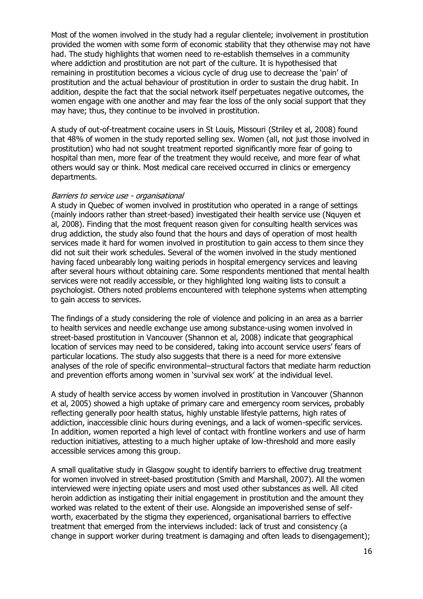Most of the women involved in the study had a regular clientele; involvement in prostitution provided the women with some form of economic stability that they otherwise may not have had. The study highlights that women need to re-establish themselves in a community where addiction and prostitution are not part of the culture. It is hypothesised that remaining in prostitution becomes a vicious cycle of drug use to decrease the 'pain' of prostitution and the actual behaviour of prostitution in order to sustain the drug habit. In addition, despite the fact that the social network itself perpetuates negative outcomes, the women engage with one another and may fear the loss of the only social support that they may have; thus, they continue to be involved in prostitution.

A study of out-of-treatment cocaine users in St Louis, Missouri (Striley et al, 2008) found that 48% of women in the study reported selling sex. Women (all, not just those involved in prostitution) who had not sought treatment reported significantly more fear of going to hospital than men, more fear of the treatment they would receive, and more fear of what others would say or think. Most medical care received occurred in clinics or emergency departments.

#### Barriers to service use - organisational

A study in Quebec of women involved in prostitution who operated in a range of settings (mainly indoors rather than street-based) investigated their health service use (Nquyen et al, 2008). Finding that the most frequent reason given for consulting health services was drug addiction, the study also found that the hours and days of operation of most health services made it hard for women involved in prostitution to gain access to them since they did not suit their work schedules. Several of the women involved in the study mentioned having faced unbearably long waiting periods in hospital emergency services and leaving after several hours without obtaining care. Some respondents mentioned that mental health services were not readily accessible, or they highlighted long waiting lists to consult a psychologist. Others noted problems encountered with telephone systems when attempting to gain access to services.

The findings of a study considering the role of violence and policing in an area as a barrier to health services and needle exchange use among substance-using women involved in street-based prostitution in Vancouver (Shannon et al, 2008) indicate that geographical location of services may need to be considered, taking into account service users' fears of particular locations. The study also suggests that there is a need for more extensive analyses of the role of specific environmental–structural factors that mediate harm reduction and prevention efforts among women in 'survival sex work' at the individual level.

A study of health service access by women involved in prostitution in Vancouver (Shannon et al, 2005) showed a high uptake of primary care and emergency room services, probably reflecting generally poor health status, highly unstable lifestyle patterns, high rates of addiction, inaccessible clinic hours during evenings, and a lack of women-specific services. In addition, women reported a high level of contact with frontline workers and use of harm reduction initiatives, attesting to a much higher uptake of low-threshold and more easily accessible services among this group.

A small qualitative study in Glasgow sought to identify barriers to effective drug treatment for women involved in street-based prostitution (Smith and Marshall, 2007). All the women interviewed were injecting opiate users and most used other substances as well. All cited heroin addiction as instigating their initial engagement in prostitution and the amount they worked was related to the extent of their use. Alongside an impoverished sense of selfworth, exacerbated by the stigma they experienced, organisational barriers to effective treatment that emerged from the interviews included: lack of trust and consistency (a change in support worker during treatment is damaging and often leads to disengagement);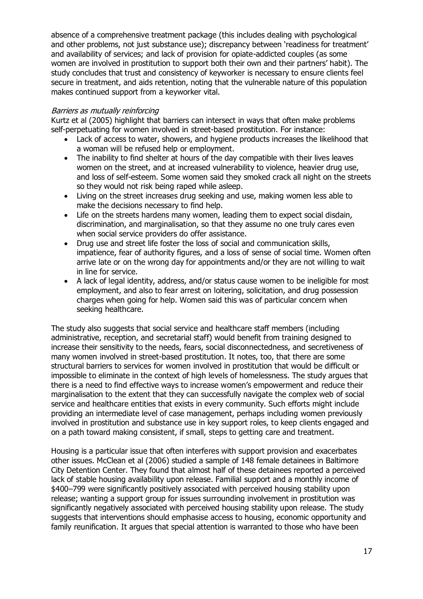absence of a comprehensive treatment package (this includes dealing with psychological and other problems, not just substance use); discrepancy between 'readiness for treatment' and availability of services; and lack of provision for opiate-addicted couples (as some women are involved in prostitution to support both their own and their partners' habit). The study concludes that trust and consistency of keyworker is necessary to ensure clients feel secure in treatment, and aids retention, noting that the vulnerable nature of this population makes continued support from a keyworker vital.

#### Barriers as mutually reinforcing

Kurtz et al (2005) highlight that barriers can intersect in ways that often make problems self-perpetuating for women involved in street-based prostitution. For instance:

- Lack of access to water, showers, and hygiene products increases the likelihood that a woman will be refused help or employment.
- The inability to find shelter at hours of the day compatible with their lives leaves women on the street, and at increased vulnerability to violence, heavier drug use, and loss of self-esteem. Some women said they smoked crack all night on the streets so they would not risk being raped while asleep.
- Living on the street increases drug seeking and use, making women less able to make the decisions necessary to find help.
- Life on the streets hardens many women, leading them to expect social disdain, discrimination, and marginalisation, so that they assume no one truly cares even when social service providers do offer assistance.
- Drug use and street life foster the loss of social and communication skills, impatience, fear of authority figures, and a loss of sense of social time. Women often arrive late or on the wrong day for appointments and/or they are not willing to wait in line for service.
- A lack of legal identity, address, and/or status cause women to be ineligible for most employment, and also to fear arrest on loitering, solicitation, and drug possession charges when going for help. Women said this was of particular concern when seeking healthcare.

The study also suggests that social service and healthcare staff members (including administrative, reception, and secretarial staff) would benefit from training designed to increase their sensitivity to the needs, fears, social disconnectedness, and secretiveness of many women involved in street-based prostitution. It notes, too, that there are some structural barriers to services for women involved in prostitution that would be difficult or impossible to eliminate in the context of high levels of homelessness. The study argues that there is a need to find effective ways to increase women's empowerment and reduce their marginalisation to the extent that they can successfully navigate the complex web of social service and healthcare entities that exists in every community. Such efforts might include providing an intermediate level of case management, perhaps including women previously involved in prostitution and substance use in key support roles, to keep clients engaged and on a path toward making consistent, if small, steps to getting care and treatment.

Housing is a particular issue that often interferes with support provision and exacerbates other issues. McClean et al (2006) studied a sample of 148 female detainees in Baltimore City Detention Center. They found that almost half of these detainees reported a perceived lack of stable housing availability upon release. Familial support and a monthly income of \$400–799 were significantly positively associated with perceived housing stability upon release; wanting a support group for issues surrounding involvement in prostitution was significantly negatively associated with perceived housing stability upon release. The study suggests that interventions should emphasise access to housing, economic opportunity and family reunification. It argues that special attention is warranted to those who have been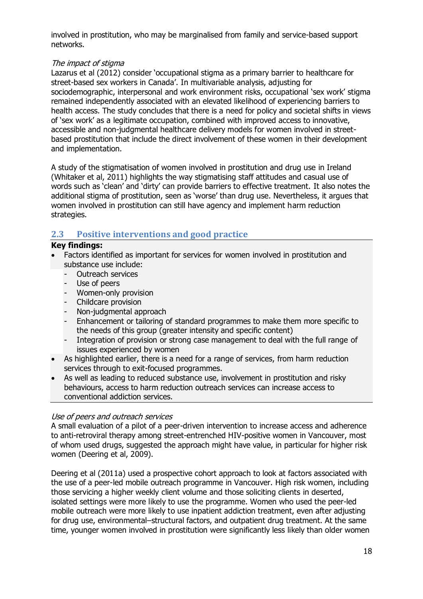involved in prostitution, who may be marginalised from family and service-based support networks.

### The impact of stigma

Lazarus et al (2012) consider 'occupational stigma as a primary barrier to healthcare for street-based sex workers in Canada'. In multivariable analysis, adjusting for sociodemographic, interpersonal and work environment risks, occupational 'sex work' stigma remained independently associated with an elevated likelihood of experiencing barriers to health access. The study concludes that there is a need for policy and societal shifts in views of 'sex work' as a legitimate occupation, combined with improved access to innovative, accessible and non-judgmental healthcare delivery models for women involved in streetbased prostitution that include the direct involvement of these women in their development and implementation.

A study of the stigmatisation of women involved in prostitution and drug use in Ireland (Whitaker et al, 2011) highlights the way stigmatising staff attitudes and casual use of words such as 'clean' and 'dirty' can provide barriers to effective treatment. It also notes the additional stigma of prostitution, seen as 'worse' than drug use. Nevertheless, it argues that women involved in prostitution can still have agency and implement harm reduction strategies.

# **2.3 Positive interventions and good practice**

### **Key findings:**

- Factors identified as important for services for women involved in prostitution and substance use include:
	- Outreach services
	- Use of peers
	- Women-only provision<br>- Childcare provision
	- Childcare provision
	- Non-judgmental approach
	- Enhancement or tailoring of standard programmes to make them more specific to the needs of this group (greater intensity and specific content)
	- Integration of provision or strong case management to deal with the full range of issues experienced by women
- As highlighted earlier, there is a need for a range of services, from harm reduction services through to exit-focused programmes.
- As well as leading to reduced substance use, involvement in prostitution and risky behaviours, access to harm reduction outreach services can increase access to conventional addiction services.

### Use of peers and outreach services

A small evaluation of a pilot of a peer-driven intervention to increase access and adherence to anti-retroviral therapy among street-entrenched HIV-positive women in Vancouver, most of whom used drugs, suggested the approach might have value, in particular for higher risk women (Deering et al, 2009).

Deering et al (2011a) used a prospective cohort approach to look at factors associated with the use of a peer-led mobile outreach programme in Vancouver. High risk women, including those servicing a higher weekly client volume and those soliciting clients in deserted, isolated settings were more likely to use the programme. Women who used the peer-led mobile outreach were more likely to use inpatient addiction treatment, even after adjusting for drug use, environmental–structural factors, and outpatient drug treatment. At the same time, younger women involved in prostitution were significantly less likely than older women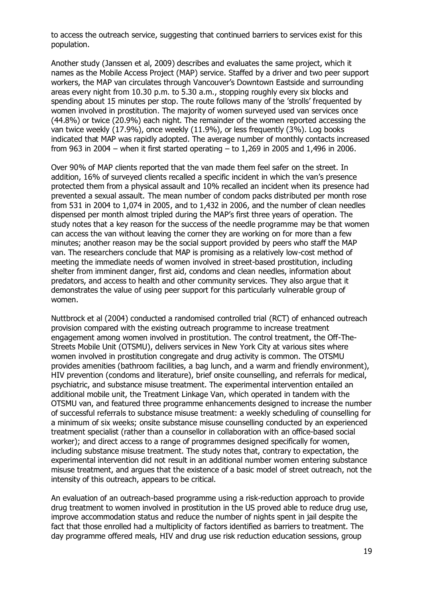to access the outreach service, suggesting that continued barriers to services exist for this population.

Another study (Janssen et al, 2009) describes and evaluates the same project, which it names as the Mobile Access Project (MAP) service. Staffed by a driver and two peer support workers, the MAP van circulates through Vancouver's Downtown Eastside and surrounding areas every night from 10.30 p.m. to 5.30 a.m., stopping roughly every six blocks and spending about 15 minutes per stop. The route follows many of the 'strolls' frequented by women involved in prostitution. The majority of women surveyed used van services once (44.8%) or twice (20.9%) each night. The remainder of the women reported accessing the van twice weekly (17.9%), once weekly (11.9%), or less frequently (3%). Log books indicated that MAP was rapidly adopted. The average number of monthly contacts increased from 963 in 2004 – when it first started operating – to 1,269 in 2005 and 1,496 in 2006.

Over 90% of MAP clients reported that the van made them feel safer on the street. In addition, 16% of surveyed clients recalled a specific incident in which the van's presence protected them from a physical assault and 10% recalled an incident when its presence had prevented a sexual assault. The mean number of condom packs distributed per month rose from 531 in 2004 to 1,074 in 2005, and to 1,432 in 2006, and the number of clean needles dispensed per month almost tripled during the MAP's first three years of operation. The study notes that a key reason for the success of the needle programme may be that women can access the van without leaving the corner they are working on for more than a few minutes; another reason may be the social support provided by peers who staff the MAP van. The researchers conclude that MAP is promising as a relatively low-cost method of meeting the immediate needs of women involved in street-based prostitution, including shelter from imminent danger, first aid, condoms and clean needles, information about predators, and access to health and other community services. They also argue that it demonstrates the value of using peer support for this particularly vulnerable group of women.

Nuttbrock et al (2004) conducted a randomised controlled trial (RCT) of enhanced outreach provision compared with the existing outreach programme to increase treatment engagement among women involved in prostitution. The control treatment, the Off-The-Streets Mobile Unit (OTSMU), delivers services in New York City at various sites where women involved in prostitution congregate and drug activity is common. The OTSMU provides amenities (bathroom facilities, a bag lunch, and a warm and friendly environment), HIV prevention (condoms and literature), brief onsite counselling, and referrals for medical, psychiatric, and substance misuse treatment. The experimental intervention entailed an additional mobile unit, the Treatment Linkage Van, which operated in tandem with the OTSMU van, and featured three programme enhancements designed to increase the number of successful referrals to substance misuse treatment: a weekly scheduling of counselling for a minimum of six weeks; onsite substance misuse counselling conducted by an experienced treatment specialist (rather than a counsellor in collaboration with an office-based social worker); and direct access to a range of programmes designed specifically for women, including substance misuse treatment. The study notes that, contrary to expectation, the experimental intervention did not result in an additional number women entering substance misuse treatment, and argues that the existence of a basic model of street outreach, not the intensity of this outreach, appears to be critical.

An evaluation of an outreach-based programme using a risk-reduction approach to provide drug treatment to women involved in prostitution in the US proved able to reduce drug use, improve accommodation status and reduce the number of nights spent in jail despite the fact that those enrolled had a multiplicity of factors identified as barriers to treatment. The day programme offered meals, HIV and drug use risk reduction education sessions, group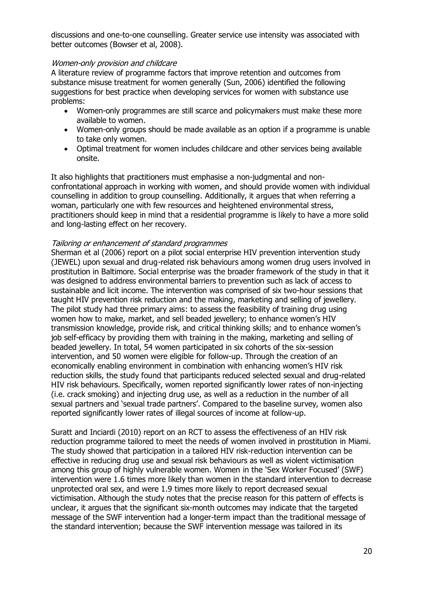discussions and one-to-one counselling. Greater service use intensity was associated with better outcomes (Bowser et al, 2008).

#### Women-only provision and childcare

A literature review of programme factors that improve retention and outcomes from substance misuse treatment for women generally (Sun, 2006) identified the following suggestions for best practice when developing services for women with substance use problems:

- Women-only programmes are still scarce and policymakers must make these more available to women.
- Women-only groups should be made available as an option if a programme is unable to take only women.
- Optimal treatment for women includes childcare and other services being available onsite.

It also highlights that practitioners must emphasise a non-judgmental and nonconfrontational approach in working with women, and should provide women with individual counselling in addition to group counselling. Additionally, it argues that when referring a woman, particularly one with few resources and heightened environmental stress, practitioners should keep in mind that a residential programme is likely to have a more solid and long-lasting effect on her recovery.

#### Tailoring or enhancement of standard programmes

Sherman et al (2006) report on a pilot social enterprise HIV prevention intervention study (JEWEL) upon sexual and drug-related risk behaviours among women drug users involved in prostitution in Baltimore. Social enterprise was the broader framework of the study in that it was designed to address environmental barriers to prevention such as lack of access to sustainable and licit income. The intervention was comprised of six two-hour sessions that taught HIV prevention risk reduction and the making, marketing and selling of jewellery. The pilot study had three primary aims: to assess the feasibility of training drug using women how to make, market, and sell beaded jewellery; to enhance women's HIV transmission knowledge, provide risk, and critical thinking skills; and to enhance women's job self-efficacy by providing them with training in the making, marketing and selling of beaded jewellery. In total, 54 women participated in six cohorts of the six-session intervention, and 50 women were eligible for follow-up. Through the creation of an economically enabling environment in combination with enhancing women's HIV risk reduction skills, the study found that participants reduced selected sexual and drug-related HIV risk behaviours. Specifically, women reported significantly lower rates of non-injecting (i.e. crack smoking) and injecting drug use, as well as a reduction in the number of all sexual partners and 'sexual trade partners'. Compared to the baseline survey, women also reported significantly lower rates of illegal sources of income at follow-up.

Suratt and Inciardi (2010) report on an RCT to assess the effectiveness of an HIV risk reduction programme tailored to meet the needs of women involved in prostitution in Miami. The study showed that participation in a tailored HIV risk-reduction intervention can be effective in reducing drug use and sexual risk behaviours as well as violent victimisation among this group of highly vulnerable women. Women in the 'Sex Worker Focused' (SWF) intervention were 1.6 times more likely than women in the standard intervention to decrease unprotected oral sex, and were 1.9 times more likely to report decreased sexual victimisation. Although the study notes that the precise reason for this pattern of effects is unclear, it argues that the significant six-month outcomes may indicate that the targeted message of the SWF intervention had a longer-term impact than the traditional message of the standard intervention; because the SWF intervention message was tailored in its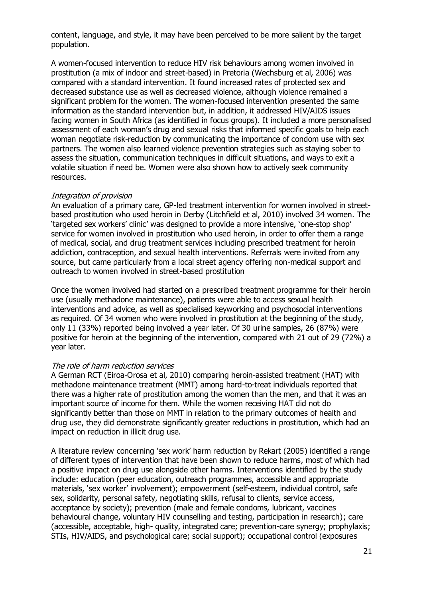content, language, and style, it may have been perceived to be more salient by the target population.

A women-focused intervention to reduce HIV risk behaviours among women involved in prostitution (a mix of indoor and street-based) in Pretoria (Wechsburg et al, 2006) was compared with a standard intervention. It found increased rates of protected sex and decreased substance use as well as decreased violence, although violence remained a significant problem for the women. The women-focused intervention presented the same information as the standard intervention but, in addition, it addressed HIV/AIDS issues facing women in South Africa (as identified in focus groups). It included a more personalised assessment of each woman's drug and sexual risks that informed specific goals to help each woman negotiate risk-reduction by communicating the importance of condom use with sex partners. The women also learned violence prevention strategies such as staying sober to assess the situation, communication techniques in difficult situations, and ways to exit a volatile situation if need be. Women were also shown how to actively seek community resources.

#### Integration of provision

An evaluation of a primary care, GP-led treatment intervention for women involved in streetbased prostitution who used heroin in Derby (Litchfield et al, 2010) involved 34 women. The 'targeted sex workers' clinic' was designed to provide a more intensive, 'one-stop shop' service for women involved in prostitution who used heroin, in order to offer them a range of medical, social, and drug treatment services including prescribed treatment for heroin addiction, contraception, and sexual health interventions. Referrals were invited from any source, but came particularly from a local street agency offering non-medical support and outreach to women involved in street-based prostitution

Once the women involved had started on a prescribed treatment programme for their heroin use (usually methadone maintenance), patients were able to access sexual health interventions and advice, as well as specialised keyworking and psychosocial interventions as required. Of 34 women who were involved in prostitution at the beginning of the study, only 11 (33%) reported being involved a year later. Of 30 urine samples, 26 (87%) were positive for heroin at the beginning of the intervention, compared with 21 out of 29 (72%) a year later.

#### The role of harm reduction services

A German RCT (Eiroa-Orosa et al, 2010) comparing heroin-assisted treatment (HAT) with methadone maintenance treatment (MMT) among hard-to-treat individuals reported that there was a higher rate of prostitution among the women than the men, and that it was an important source of income for them. While the women receiving HAT did not do significantly better than those on MMT in relation to the primary outcomes of health and drug use, they did demonstrate significantly greater reductions in prostitution, which had an impact on reduction in illicit drug use.

A literature review concerning 'sex work' harm reduction by Rekart (2005) identified a range of different types of intervention that have been shown to reduce harms, most of which had a positive impact on drug use alongside other harms. Interventions identified by the study include: education (peer education, outreach programmes, accessible and appropriate materials, 'sex worker' involvement); empowerment (self-esteem, individual control, safe sex, solidarity, personal safety, negotiating skills, refusal to clients, service access, acceptance by society); prevention (male and female condoms, lubricant, vaccines behavioural change, voluntary HIV counselling and testing, participation in research); care (accessible, acceptable, high- quality, integrated care; prevention-care synergy; prophylaxis; STIs, HIV/AIDS, and psychological care; social support); occupational control (exposures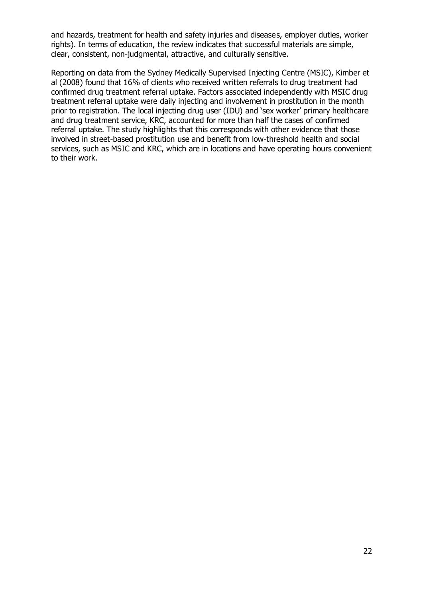and hazards, treatment for health and safety injuries and diseases, employer duties, worker rights). In terms of education, the review indicates that successful materials are simple, clear, consistent, non-judgmental, attractive, and culturally sensitive.

Reporting on data from the Sydney Medically Supervised Injecting Centre (MSIC), Kimber et al (2008) found that 16% of clients who received written referrals to drug treatment had confirmed drug treatment referral uptake. Factors associated independently with MSIC drug treatment referral uptake were daily injecting and involvement in prostitution in the month prior to registration. The local injecting drug user (IDU) and 'sex worker' primary healthcare and drug treatment service, KRC, accounted for more than half the cases of confirmed referral uptake. The study highlights that this corresponds with other evidence that those involved in street-based prostitution use and benefit from low-threshold health and social services, such as MSIC and KRC, which are in locations and have operating hours convenient to their work.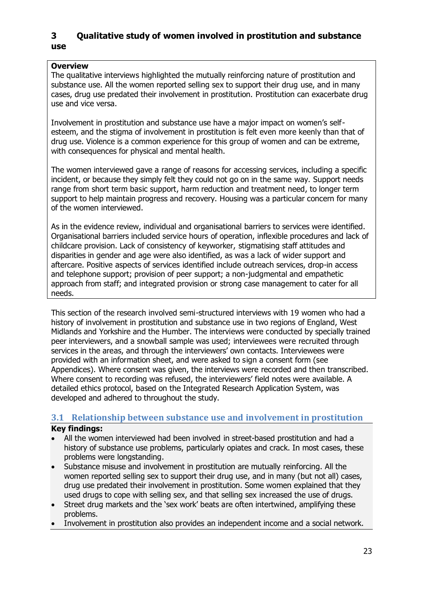# **3 Qualitative study of women involved in prostitution and substance use**

## **Overview**

The qualitative interviews highlighted the mutually reinforcing nature of prostitution and substance use. All the women reported selling sex to support their drug use, and in many cases, drug use predated their involvement in prostitution. Prostitution can exacerbate drug use and vice versa.

Involvement in prostitution and substance use have a major impact on women's selfesteem, and the stigma of involvement in prostitution is felt even more keenly than that of drug use. Violence is a common experience for this group of women and can be extreme, with consequences for physical and mental health.

The women interviewed gave a range of reasons for accessing services, including a specific incident, or because they simply felt they could not go on in the same way. Support needs range from short term basic support, harm reduction and treatment need, to longer term support to help maintain progress and recovery. Housing was a particular concern for many of the women interviewed.

As in the evidence review, individual and organisational barriers to services were identified. Organisational barriers included service hours of operation, inflexible procedures and lack of childcare provision. Lack of consistency of keyworker, stigmatising staff attitudes and disparities in gender and age were also identified, as was a lack of wider support and aftercare. Positive aspects of services identified include outreach services, drop-in access and telephone support; provision of peer support; a non-judgmental and empathetic approach from staff; and integrated provision or strong case management to cater for all needs.

This section of the research involved semi-structured interviews with 19 women who had a history of involvement in prostitution and substance use in two regions of England, West Midlands and Yorkshire and the Humber. The interviews were conducted by specially trained peer interviewers, and a snowball sample was used; interviewees were recruited through services in the areas, and through the interviewers' own contacts. Interviewees were provided with an information sheet, and were asked to sign a consent form (see Appendices). Where consent was given, the interviews were recorded and then transcribed. Where consent to recording was refused, the interviewers' field notes were available. A detailed ethics protocol, based on the Integrated Research Application System, was developed and adhered to throughout the study.

# **3.1 Relationship between substance use and involvement in prostitution**

# **Key findings:**

- All the women interviewed had been involved in street-based prostitution and had a history of substance use problems, particularly opiates and crack. In most cases, these problems were longstanding.
- Substance misuse and involvement in prostitution are mutually reinforcing. All the women reported selling sex to support their drug use, and in many (but not all) cases, drug use predated their involvement in prostitution. Some women explained that they used drugs to cope with selling sex, and that selling sex increased the use of drugs.
- Street drug markets and the 'sex work' beats are often intertwined, amplifying these problems.
- Involvement in prostitution also provides an independent income and a social network.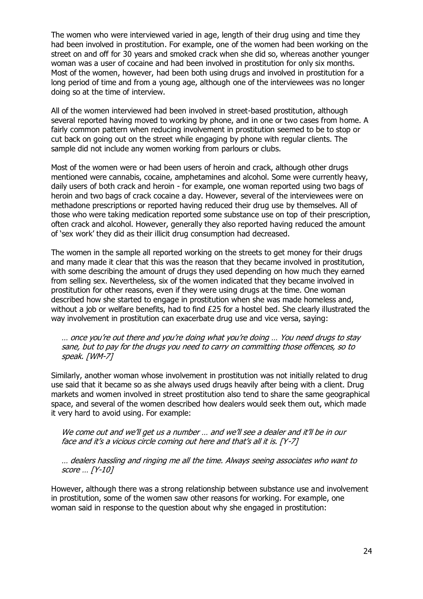The women who were interviewed varied in age, length of their drug using and time they had been involved in prostitution. For example, one of the women had been working on the street on and off for 30 years and smoked crack when she did so, whereas another younger woman was a user of cocaine and had been involved in prostitution for only six months. Most of the women, however, had been both using drugs and involved in prostitution for a long period of time and from a young age, although one of the interviewees was no longer doing so at the time of interview.

All of the women interviewed had been involved in street-based prostitution, although several reported having moved to working by phone, and in one or two cases from home. A fairly common pattern when reducing involvement in prostitution seemed to be to stop or cut back on going out on the street while engaging by phone with regular clients. The sample did not include any women working from parlours or clubs.

Most of the women were or had been users of heroin and crack, although other drugs mentioned were cannabis, cocaine, amphetamines and alcohol. Some were currently heavy, daily users of both crack and heroin - for example, one woman reported using two bags of heroin and two bags of crack cocaine a day. However, several of the interviewees were on methadone prescriptions or reported having reduced their drug use by themselves. All of those who were taking medication reported some substance use on top of their prescription, often crack and alcohol. However, generally they also reported having reduced the amount of 'sex work' they did as their illicit drug consumption had decreased.

The women in the sample all reported working on the streets to get money for their drugs and many made it clear that this was the reason that they became involved in prostitution, with some describing the amount of drugs they used depending on how much they earned from selling sex. Nevertheless, six of the women indicated that they became involved in prostitution for other reasons, even if they were using drugs at the time. One woman described how she started to engage in prostitution when she was made homeless and, without a job or welfare benefits, had to find  $£25$  for a hostel bed. She clearly illustrated the way involvement in prostitution can exacerbate drug use and vice versa, saying:

… once you're out there and you're doing what you're doing … You need drugs to stay sane, but to pay for the drugs you need to carry on committing those offences, so to speak. [WM-7]

Similarly, another woman whose involvement in prostitution was not initially related to drug use said that it became so as she always used drugs heavily after being with a client. Drug markets and women involved in street prostitution also tend to share the same geographical space, and several of the women described how dealers would seek them out, which made it very hard to avoid using. For example:

We come out and we'll get us a number ... and we'll see a dealer and it'll be in our face and it's a vicious circle coming out here and that's all it is. [Y-7]

… dealers hassling and ringing me all the time. Always seeing associates who want to score … [Y-10]

However, although there was a strong relationship between substance use and involvement in prostitution, some of the women saw other reasons for working. For example, one woman said in response to the question about why she engaged in prostitution: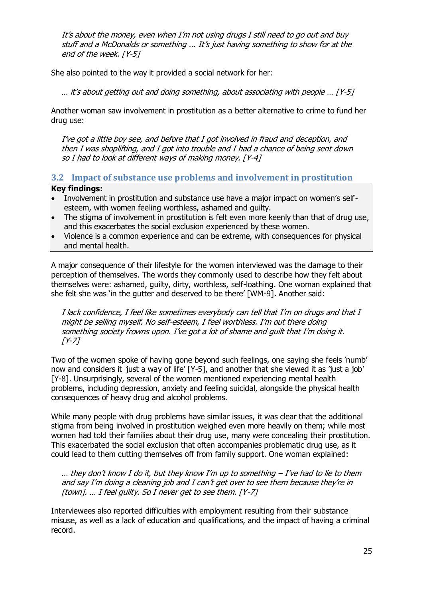It's about the money, even when I'm not using drugs I still need to go out and buy stuff and a McDonalds or something ... It's just having something to show for at the end of the week. [Y-5]

She also pointed to the way it provided a social network for her:

… it's about getting out and doing something, about associating with people … [Y-5]

Another woman saw involvement in prostitution as a better alternative to crime to fund her drug use:

I've got a little boy see, and before that I got involved in fraud and deception, and then I was shoplifting, and I got into trouble and I had a chance of being sent down so I had to look at different ways of making money. [Y-4]

**3.2 Impact of substance use problems and involvement in prostitution** 

### **Key findings:**

- Involvement in prostitution and substance use have a major impact on women's selfesteem, with women feeling worthless, ashamed and guilty.
- The stigma of involvement in prostitution is felt even more keenly than that of drug use, and this exacerbates the social exclusion experienced by these women.
- Violence is a common experience and can be extreme, with consequences for physical and mental health.

A major consequence of their lifestyle for the women interviewed was the damage to their perception of themselves. The words they commonly used to describe how they felt about themselves were: ashamed, guilty, dirty, worthless, self-loathing. One woman explained that she felt she was 'in the gutter and deserved to be there' [WM-9]. Another said:

I lack confidence, I feel like sometimes everybody can tell that I'm on drugs and that I might be selling myself. No self-esteem, I feel worthless. I'm out there doing something society frowns upon. I've got a lot of shame and guilt that I'm doing it.  $[Y-7]$ 

Two of the women spoke of having gone beyond such feelings, one saying she feels 'numb' now and considers it just a way of life' [Y-5], and another that she viewed it as 'just a job' [Y-8]. Unsurprisingly, several of the women mentioned experiencing mental health problems, including depression, anxiety and feeling suicidal, alongside the physical health consequences of heavy drug and alcohol problems.

While many people with drug problems have similar issues, it was clear that the additional stigma from being involved in prostitution weighed even more heavily on them; while most women had told their families about their drug use, many were concealing their prostitution. This exacerbated the social exclusion that often accompanies problematic drug use, as it could lead to them cutting themselves off from family support. One woman explained:

 $...$  they don't know I do it, but they know I'm up to something  $-$  I've had to lie to them and say I'm doing a cleaning job and I can't get over to see them because they're in [town]. ... I feel guilty. So I never get to see them. [Y-7]

Interviewees also reported difficulties with employment resulting from their substance misuse, as well as a lack of education and qualifications, and the impact of having a criminal record.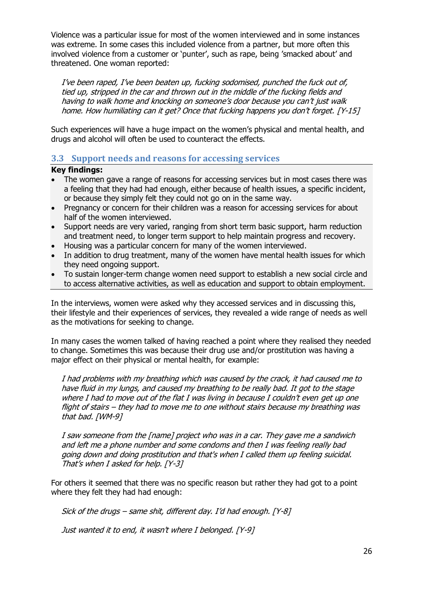Violence was a particular issue for most of the women interviewed and in some instances was extreme. In some cases this included violence from a partner, but more often this involved violence from a customer or 'punter', such as rape, being 'smacked about' and threatened. One woman reported:

I've been raped, I've been beaten up, fucking sodomised, punched the fuck out of, tied up, stripped in the car and thrown out in the middle of the fucking fields and having to walk home and knocking on someone's door because you can't just walk home. How humiliating can it get? Once that fucking happens you don't forget. [Y-15]

Such experiences will have a huge impact on the women's physical and mental health, and drugs and alcohol will often be used to counteract the effects.

# **3.3 Support needs and reasons for accessing services**

#### **Key findings:**

- The women gave a range of reasons for accessing services but in most cases there was a feeling that they had had enough, either because of health issues, a specific incident, or because they simply felt they could not go on in the same way.
- Pregnancy or concern for their children was a reason for accessing services for about half of the women interviewed.
- Support needs are very varied, ranging from short term basic support, harm reduction and treatment need, to longer term support to help maintain progress and recovery.
- Housing was a particular concern for many of the women interviewed.
- In addition to drug treatment, many of the women have mental health issues for which they need ongoing support.
- To sustain longer-term change women need support to establish a new social circle and to access alternative activities, as well as education and support to obtain employment.

In the interviews, women were asked why they accessed services and in discussing this, their lifestyle and their experiences of services, they revealed a wide range of needs as well as the motivations for seeking to change.

In many cases the women talked of having reached a point where they realised they needed to change. Sometimes this was because their drug use and/or prostitution was having a major effect on their physical or mental health, for example:

I had problems with my breathing which was caused by the crack, it had caused me to have fluid in my lungs, and caused my breathing to be really bad. It got to the stage where I had to move out of the flat I was living in because I couldn't even get up one flight of stairs – they had to move me to one without stairs because my breathing was that bad. [WM-9]

I saw someone from the [name] project who was in a car. They gave me a sandwich and left me a phone number and some condoms and then I was feeling really bad going down and doing prostitution and that's when I called them up feeling suicidal. That's when I asked for help. [Y-3]

For others it seemed that there was no specific reason but rather they had got to a point where they felt they had had enough:

Sick of the drugs – same shit, different day. I'd had enough. [Y-8]

Just wanted it to end, it wasn't where I belonged. [Y-9]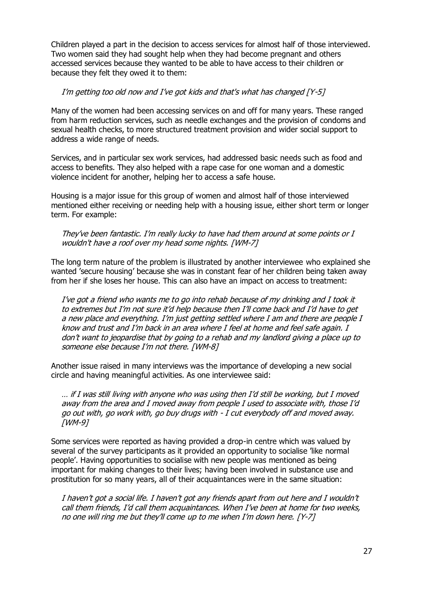Children played a part in the decision to access services for almost half of those interviewed. Two women said they had sought help when they had become pregnant and others accessed services because they wanted to be able to have access to their children or because they felt they owed it to them:

### I'm getting too old now and I've got kids and that's what has changed [Y-5]

Many of the women had been accessing services on and off for many years. These ranged from harm reduction services, such as needle exchanges and the provision of condoms and sexual health checks, to more structured treatment provision and wider social support to address a wide range of needs.

Services, and in particular sex work services, had addressed basic needs such as food and access to benefits. They also helped with a rape case for one woman and a domestic violence incident for another, helping her to access a safe house.

Housing is a major issue for this group of women and almost half of those interviewed mentioned either receiving or needing help with a housing issue, either short term or longer term. For example:

#### They've been fantastic. I'm really lucky to have had them around at some points or I wouldn't have a roof over my head some nights. [WM-7]

The long term nature of the problem is illustrated by another interviewee who explained she wanted 'secure housing' because she was in constant fear of her children being taken away from her if she loses her house. This can also have an impact on access to treatment:

I've got a friend who wants me to go into rehab because of my drinking and I took it to extremes but I'm not sure it'd help because then I'll come back and I'd have to get a new place and everything. I'm just getting settled where I am and there are people I know and trust and I'm back in an area where I feel at home and feel safe again. I don't want to jeopardise that by going to a rehab and my landlord giving a place up to someone else because I'm not there. [WM-8]

Another issue raised in many interviews was the importance of developing a new social circle and having meaningful activities. As one interviewee said:

… if I was still living with anyone who was using then I'd still be working, but I moved away from the area and I moved away from people I used to associate with, those I'd go out with, go work with, go buy drugs with - I cut everybody off and moved away. [WM-9]

Some services were reported as having provided a drop-in centre which was valued by several of the survey participants as it provided an opportunity to socialise 'like normal people'. Having opportunities to socialise with new people was mentioned as being important for making changes to their lives; having been involved in substance use and prostitution for so many years, all of their acquaintances were in the same situation:

I haven't got a social life. I haven't got any friends apart from out here and I wouldn't call them friends, I'd call them acquaintances. When I've been at home for two weeks, no one will ring me but they'll come up to me when I'm down here. [Y-7]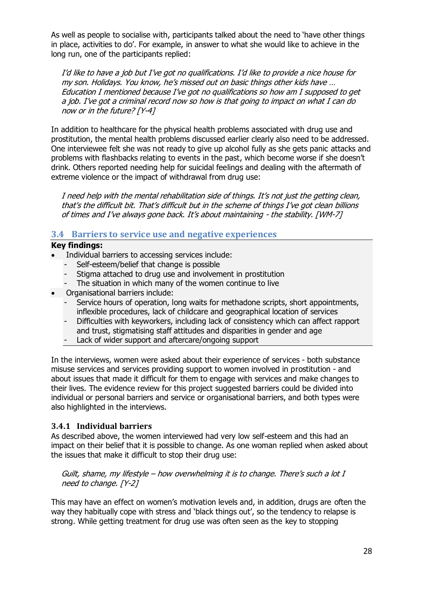As well as people to socialise with, participants talked about the need to 'have other things in place, activities to do'. For example, in answer to what she would like to achieve in the long run, one of the participants replied:

I'd like to have a job but I've got no qualifications. I'd like to provide a nice house for my son. Holidays. You know, he's missed out on basic things other kids have … Education I mentioned because I've got no qualifications so how am I supposed to get a job. I've got a criminal record now so how is that going to impact on what I can do now or in the future? [Y-4]

In addition to healthcare for the physical health problems associated with drug use and prostitution, the mental health problems discussed earlier clearly also need to be addressed. One interviewee felt she was not ready to give up alcohol fully as she gets panic attacks and problems with flashbacks relating to events in the past, which become worse if she doesn't drink. Others reported needing help for suicidal feelings and dealing with the aftermath of extreme violence or the impact of withdrawal from drug use:

I need help with the mental rehabilitation side of things. It's not just the getting clean, that's the difficult bit. That's difficult but in the scheme of things I've got clean billions of times and I've always gone back. It's about maintaining - the stability. [WM-7]

# **3.4 Barriers to service use and negative experiences**

### **Key findings:**

- Individual barriers to accessing services include:
	- Self-esteem/belief that change is possible
	- Stigma attached to drug use and involvement in prostitution
	- The situation in which many of the women continue to live
- Organisational barriers include:
	- Service hours of operation, long waits for methadone scripts, short appointments, inflexible procedures, lack of childcare and geographical location of services
	- Difficulties with keyworkers, including lack of consistency which can affect rapport and trust, stigmatising staff attitudes and disparities in gender and age
	- Lack of wider support and aftercare/ongoing support

In the interviews, women were asked about their experience of services - both substance misuse services and services providing support to women involved in prostitution - and about issues that made it difficult for them to engage with services and make changes to their lives. The evidence review for this project suggested barriers could be divided into individual or personal barriers and service or organisational barriers, and both types were also highlighted in the interviews.

### **3.4.1 Individual barriers**

As described above, the women interviewed had very low self-esteem and this had an impact on their belief that it is possible to change. As one woman replied when asked about the issues that make it difficult to stop their drug use:

Guilt, shame, my lifestyle – how overwhelming it is to change. There's such a lot I need to change. [Y-2]

This may have an effect on women's motivation levels and, in addition, drugs are often the way they habitually cope with stress and 'black things out', so the tendency to relapse is strong. While getting treatment for drug use was often seen as the key to stopping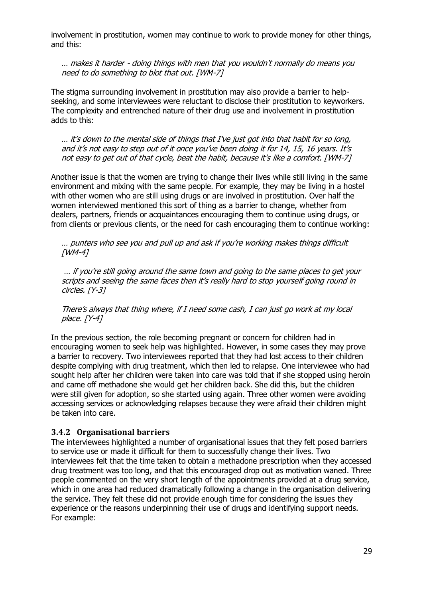involvement in prostitution, women may continue to work to provide money for other things, and this:

… makes it harder - doing things with men that you wouldn't normally do means you need to do something to blot that out. [WM-7]

The stigma surrounding involvement in prostitution may also provide a barrier to helpseeking, and some interviewees were reluctant to disclose their prostitution to keyworkers. The complexity and entrenched nature of their drug use and involvement in prostitution adds to this:

… it's down to the mental side of things that I've just got into that habit for so long, and it's not easy to step out of it once you've been doing it for 14, 15, 16 years. It's not easy to get out of that cycle, beat the habit, because it's like a comfort. [WM-7]

Another issue is that the women are trying to change their lives while still living in the same environment and mixing with the same people. For example, they may be living in a hostel with other women who are still using drugs or are involved in prostitution. Over half the women interviewed mentioned this sort of thing as a barrier to change, whether from dealers, partners, friends or acquaintances encouraging them to continue using drugs, or from clients or previous clients, or the need for cash encouraging them to continue working:

… punters who see you and pull up and ask if you're working makes things difficult [WM-4]

… if you're still going around the same town and going to the same places to get your scripts and seeing the same faces then it's really hard to stop yourself going round in circles. [Y-3]

There's always that thing where, if I need some cash, I can just go work at my local place. [Y-4]

In the previous section, the role becoming pregnant or concern for children had in encouraging women to seek help was highlighted. However, in some cases they may prove a barrier to recovery. Two interviewees reported that they had lost access to their children despite complying with drug treatment, which then led to relapse. One interviewee who had sought help after her children were taken into care was told that if she stopped using heroin and came off methadone she would get her children back. She did this, but the children were still given for adoption, so she started using again. Three other women were avoiding accessing services or acknowledging relapses because they were afraid their children might be taken into care.

#### **3.4.2 Organisational barriers**

The interviewees highlighted a number of organisational issues that they felt posed barriers to service use or made it difficult for them to successfully change their lives. Two interviewees felt that the time taken to obtain a methadone prescription when they accessed drug treatment was too long, and that this encouraged drop out as motivation waned. Three people commented on the very short length of the appointments provided at a drug service, which in one area had reduced dramatically following a change in the organisation delivering the service. They felt these did not provide enough time for considering the issues they experience or the reasons underpinning their use of drugs and identifying support needs. For example: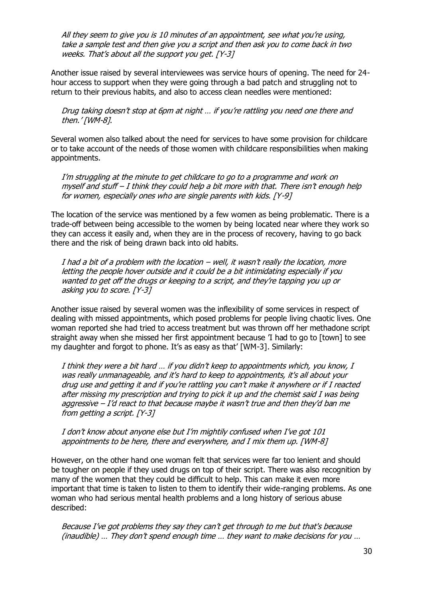All they seem to give you is 10 minutes of an appointment, see what you're using, take a sample test and then give you a script and then ask you to come back in two weeks. That's about all the support you get. [Y-3]

Another issue raised by several interviewees was service hours of opening. The need for 24 hour access to support when they were going through a bad patch and struggling not to return to their previous habits, and also to access clean needles were mentioned:

Drug taking doesn't stop at 6pm at night … if you're rattling you need one there and then.' [WM-8].

Several women also talked about the need for services to have some provision for childcare or to take account of the needs of those women with childcare responsibilities when making appointments.

I'm struggling at the minute to get childcare to go to a programme and work on myself and stuff – I think they could help a bit more with that. There isn't enough help for women, especially ones who are single parents with kids. [Y-9]

The location of the service was mentioned by a few women as being problematic. There is a trade-off between being accessible to the women by being located near where they work so they can access it easily and, when they are in the process of recovery, having to go back there and the risk of being drawn back into old habits.

I had a bit of a problem with the location – well, it wasn't really the location, more letting the people hover outside and it could be a bit intimidating especially if you wanted to get off the drugs or keeping to a script, and they're tapping you up or asking you to score. [Y-3]

Another issue raised by several women was the inflexibility of some services in respect of dealing with missed appointments, which posed problems for people living chaotic lives. One woman reported she had tried to access treatment but was thrown off her methadone script straight away when she missed her first appointment because 'I had to go to [town] to see my daughter and forgot to phone. It's as easy as that' [WM-3]. Similarly:

I think they were a bit hard … if you didn't keep to appointments which, you know, I was really unmanageable, and it's hard to keep to appointments, it's all about your drug use and getting it and if you're rattling you can't make it anywhere or if I reacted after missing my prescription and trying to pick it up and the chemist said I was being aggressive  $-I'd$  react to that because maybe it wasn't true and then they'd ban me from getting a script. [Y-3]

I don't know about anyone else but I'm mightily confused when I've got 101 appointments to be here, there and everywhere, and I mix them up. [WM-8]

However, on the other hand one woman felt that services were far too lenient and should be tougher on people if they used drugs on top of their script. There was also recognition by many of the women that they could be difficult to help. This can make it even more important that time is taken to listen to them to identify their wide-ranging problems. As one woman who had serious mental health problems and a long history of serious abuse described:

Because I've got problems they say they can't get through to me but that's because (inaudible) … They don't spend enough time … they want to make decisions for you …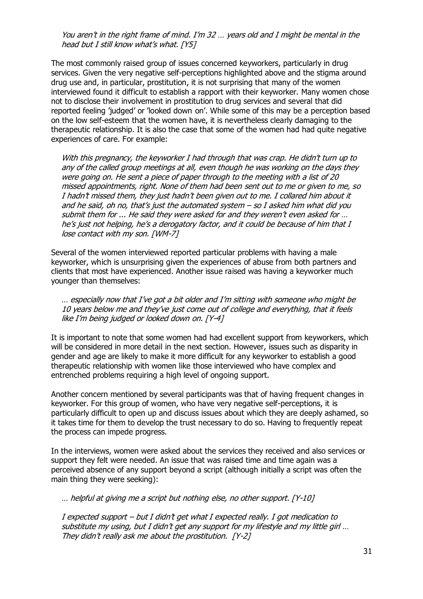You aren't in the right frame of mind. I'm 32 … years old and I might be mental in the head but I still know what's what. [Y5]

The most commonly raised group of issues concerned keyworkers, particularly in drug services. Given the very negative self-perceptions highlighted above and the stigma around drug use and, in particular, prostitution, it is not surprising that many of the women interviewed found it difficult to establish a rapport with their keyworker. Many women chose not to disclose their involvement in prostitution to drug services and several that did reported feeling 'judged' or 'looked down on'. While some of this may be a perception based on the low self-esteem that the women have, it is nevertheless clearly damaging to the therapeutic relationship. It is also the case that some of the women had had quite negative experiences of care. For example:

With this pregnancy, the keyworker I had through that was crap. He didn't turn up to any of the called group meetings at all, even though he was working on the days they were going on. He sent a piece of paper through to the meeting with a list of 20 missed appointments, right. None of them had been sent out to me or given to me, so I hadn't missed them, they just hadn't been given out to me. I collared him about it and he said, oh no, that's just the automated syste<sup>m</sup>– so I asked him what did you submit them for ... He said they were asked for and they weren't even asked for … he's just not helping, he's a derogatory factor, and it could be because of him that I lose contact with my son. [WM-7]

Several of the women interviewed reported particular problems with having a male keyworker, which is unsurprising given the experiences of abuse from both partners and clients that most have experienced. Another issue raised was having a keyworker much younger than themselves:

… especially now that I've got a bit older and I'm sitting with someone who might be 10 years below me and they've just come out of college and everything, that it feels like I'm being judged or looked down on. [Y-4]

It is important to note that some women had had excellent support from keyworkers, which will be considered in more detail in the next section. However, issues such as disparity in gender and age are likely to make it more difficult for any keyworker to establish a good therapeutic relationship with women like those interviewed who have complex and entrenched problems requiring a high level of ongoing support.

Another concern mentioned by several participants was that of having frequent changes in keyworker. For this group of women, who have very negative self-perceptions, it is particularly difficult to open up and discuss issues about which they are deeply ashamed, so it takes time for them to develop the trust necessary to do so. Having to frequently repeat the process can impede progress.

In the interviews, women were asked about the services they received and also services or support they felt were needed. An issue that was raised time and time again was a perceived absence of any support beyond a script (although initially a script was often the main thing they were seeking):

… helpful at giving me a script but nothing else, no other support. [Y-10]

I expected support – but I didn't get what I expected really. I got medication to substitute my using, but I didn't get any support for my lifestyle and my little girl ... They didn't really ask me about the prostitution. [Y-2]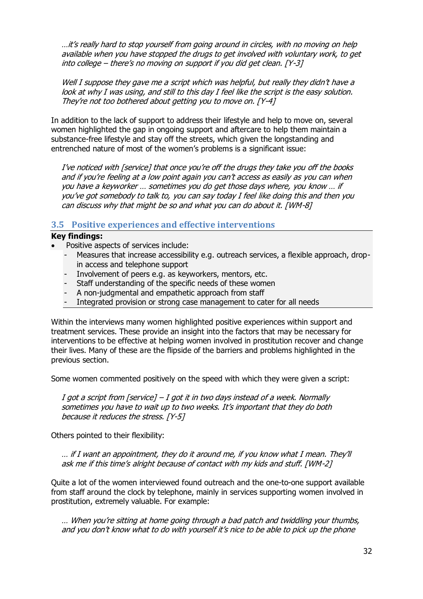…it's really hard to stop yourself from going around in circles, with no moving on help available when you have stopped the drugs to get involved with voluntary work, to get into college – there's no moving on support if you did get clean. [Y-3]

Well I suppose they gave me a script which was helpful, but really they didn't have a look at why I was using, and still to this day I feel like the script is the easy solution. They're not too bothered about getting you to move on. [Y-4]

In addition to the lack of support to address their lifestyle and help to move on, several women highlighted the gap in ongoing support and aftercare to help them maintain a substance-free lifestyle and stay off the streets, which given the longstanding and entrenched nature of most of the women's problems is a significant issue:

I've noticed with [service] that once you're off the drugs they take you off the books and if you're feeling at a low point again you can't access as easily as you can when you have a keyworker … sometimes you do get those days where, you know … if you've got somebody to talk to, you can say today I feel like doing this and then you can discuss why that might be so and what you can do about it. [WM-8]

### **3.5 Positive experiences and effective interventions**

### **Key findings:**

- Positive aspects of services include:
	- Measures that increase accessibility e.g. outreach services, a flexible approach, dropin access and telephone support
	- Involvement of peers e.g. as keyworkers, mentors, etc.
	- Staff understanding of the specific needs of these women
	- A non-judgmental and empathetic approach from staff
	- Integrated provision or strong case management to cater for all needs

Within the interviews many women highlighted positive experiences within support and treatment services. These provide an insight into the factors that may be necessary for interventions to be effective at helping women involved in prostitution recover and change their lives. Many of these are the flipside of the barriers and problems highlighted in the previous section.

Some women commented positively on the speed with which they were given a script:

I got a script from [service]  $-$  I got it in two days instead of a week. Normally sometimes you have to wait up to two weeks. It's important that they do both because it reduces the stress. [Y-5]

Others pointed to their flexibility:

… if I want an appointment, they do it around me, if you know what I mean. They'll ask me if this time's alright because of contact with my kids and stuff. [WM-2]

Quite a lot of the women interviewed found outreach and the one-to-one support available from staff around the clock by telephone, mainly in services supporting women involved in prostitution, extremely valuable. For example:

… When you're sitting at home going through a bad patch and twiddling your thumbs, and you don't know what to do with yourself it's nice to be able to pick up the phone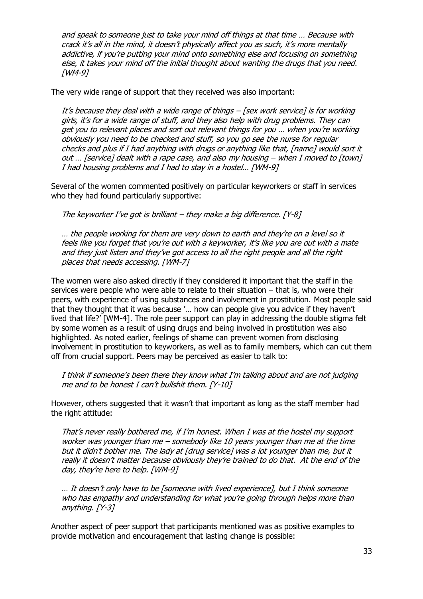and speak to someone just to take your mind off things at that time … Because with crack it's all in the mind, it doesn't physically affect you as such, it's more mentally addictive, if you're putting your mind onto something else and focusing on something else, it takes your mind off the initial thought about wanting the drugs that you need. [WM-9]

The very wide range of support that they received was also important:

It's because they deal with a wide range of things – [sex work service] is for working girls, it's for a wide range of stuff, and they also help with drug problems. They can get you to relevant places and sort out relevant things for you … when you're working obviously you need to be checked and stuff, so you go see the nurse for regular checks and plus if I had anything with drugs or anything like that, [name] would sort it out … [service] dealt with a rape case, and also my housing – when I moved to [town] I had housing problems and I had to stay in a hostel… [WM-9]

Several of the women commented positively on particular keyworkers or staff in services who they had found particularly supportive:

The keyworker I've got is brilliant – they make a big difference. [Y-8]

… the people working for them are very down to earth and they're on a level so it feels like you forget that you're out with a keyworker, it's like you are out with a mate and they just listen and they've got access to all the right people and all the right places that needs accessing. [WM-7]

The women were also asked directly if they considered it important that the staff in the services were people who were able to relate to their situation – that is, who were their peers, with experience of using substances and involvement in prostitution. Most people said that they thought that it was because '… how can people give you advice if they haven't lived that life?' [WM-4]. The role peer support can play in addressing the double stigma felt by some women as a result of using drugs and being involved in prostitution was also highlighted. As noted earlier, feelings of shame can prevent women from disclosing involvement in prostitution to keyworkers, as well as to family members, which can cut them off from crucial support. Peers may be perceived as easier to talk to:

I think if someone's been there they know what I'm talking about and are not judging me and to be honest I can't bullshit them. [Y-10]

However, others suggested that it wasn't that important as long as the staff member had the right attitude:

That's never really bothered me, if I'm honest. When I was at the hostel my support worker was younger than me – somebody like 10 years younger than me at the time but it didn't bother me. The lady at [drug service] was a lot younger than me, but it really it doesn't matter because obviously they're trained to do that. At the end of the day, they're here to help. [WM-9]

… It doesn't only have to be [someone with lived experience], but I think someone who has empathy and understanding for what you're going through helps more than anything. [Y-3]

Another aspect of peer support that participants mentioned was as positive examples to provide motivation and encouragement that lasting change is possible: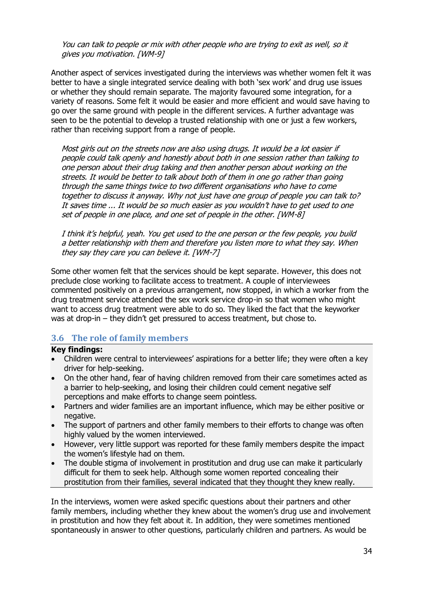You can talk to people or mix with other people who are trying to exit as well, so it gives you motivation. [WM-9]

Another aspect of services investigated during the interviews was whether women felt it was better to have a single integrated service dealing with both 'sex work' and drug use issues or whether they should remain separate. The majority favoured some integration, for a variety of reasons. Some felt it would be easier and more efficient and would save having to go over the same ground with people in the different services. A further advantage was seen to be the potential to develop a trusted relationship with one or just a few workers, rather than receiving support from a range of people.

Most girls out on the streets now are also using drugs. It would be a lot easier if people could talk openly and honestly about both in one session rather than talking to one person about their drug taking and then another person about working on the streets. It would be better to talk about both of them in one go rather than going through the same things twice to two different organisations who have to come together to discuss it anyway. Why not just have one group of people you can talk to? It saves time ... It would be so much easier as you wouldn't have to get used to one set of people in one place, and one set of people in the other. [WM-8]

I think it's helpful, yeah. You get used to the one person or the few people, you build a better relationship with them and therefore you listen more to what they say. When they say they care you can believe it. [WM-7]

Some other women felt that the services should be kept separate. However, this does not preclude close working to facilitate access to treatment. A couple of interviewees commented positively on a previous arrangement, now stopped, in which a worker from the drug treatment service attended the sex work service drop-in so that women who might want to access drug treatment were able to do so. They liked the fact that the keyworker was at drop-in – they didn't get pressured to access treatment, but chose to.

### **3.6 The role of family members**

#### **Key findings:**

- Children were central to interviewees' aspirations for a better life; they were often a key driver for help-seeking.
- On the other hand, fear of having children removed from their care sometimes acted as a barrier to help-seeking, and losing their children could cement negative self perceptions and make efforts to change seem pointless.
- Partners and wider families are an important influence, which may be either positive or negative.
- The support of partners and other family members to their efforts to change was often highly valued by the women interviewed.
- However, very little support was reported for these family members despite the impact the women's lifestyle had on them.
- The double stigma of involvement in prostitution and drug use can make it particularly difficult for them to seek help. Although some women reported concealing their prostitution from their families, several indicated that they thought they knew really.

In the interviews, women were asked specific questions about their partners and other family members, including whether they knew about the women's drug use and involvement in prostitution and how they felt about it. In addition, they were sometimes mentioned spontaneously in answer to other questions, particularly children and partners. As would be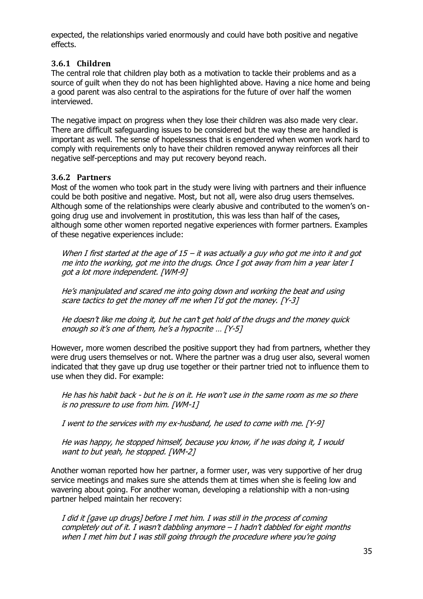expected, the relationships varied enormously and could have both positive and negative effects.

## **3.6.1 Children**

The central role that children play both as a motivation to tackle their problems and as a source of guilt when they do not has been highlighted above. Having a nice home and being a good parent was also central to the aspirations for the future of over half the women interviewed.

The negative impact on progress when they lose their children was also made very clear. There are difficult safeguarding issues to be considered but the way these are handled is important as well. The sense of hopelessness that is engendered when women work hard to comply with requirements only to have their children removed anyway reinforces all their negative self-perceptions and may put recovery beyond reach.

### **3.6.2 Partners**

Most of the women who took part in the study were living with partners and their influence could be both positive and negative. Most, but not all, were also drug users themselves. Although some of the relationships were clearly abusive and contributed to the women's ongoing drug use and involvement in prostitution, this was less than half of the cases, although some other women reported negative experiences with former partners. Examples of these negative experiences include:

When I first started at the age of 15 – it was actually a guy who got me into it and got me into the working, got me into the drugs. Once I got away from him a year later I got a lot more independent. [WM-9]

He's manipulated and scared me into going down and working the beat and using scare tactics to get the money off me when I'd got the money. [Y-3]

He doesn't like me doing it, but he can't get hold of the drugs and the money quick enough so it's one of them, he's a hypocrite … [Y-5]

However, more women described the positive support they had from partners, whether they were drug users themselves or not. Where the partner was a drug user also, several women indicated that they gave up drug use together or their partner tried not to influence them to use when they did. For example:

He has his habit back - but he is on it. He won't use in the same room as me so there is no pressure to use from him. [WM-1]

I went to the services with my ex-husband, he used to come with me. [Y-9]

He was happy, he stopped himself, because you know, if he was doing it, I would want to but yeah, he stopped. [WM-2]

Another woman reported how her partner, a former user, was very supportive of her drug service meetings and makes sure she attends them at times when she is feeling low and wavering about going. For another woman, developing a relationship with a non-using partner helped maintain her recovery:

I did it [gave up drugs] before I met him. I was still in the process of coming completely out of it. I wasn't dabbling anymore  $-I$  hadn't dabbled for eight months when I met him but I was still going through the procedure where you're going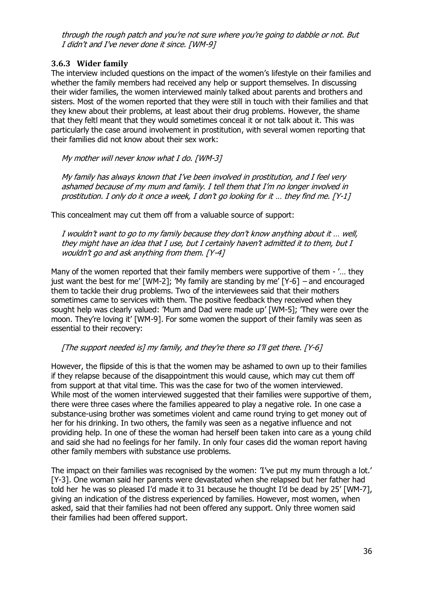through the rough patch and you're not sure where you're going to dabble or not. But I didn't and I've never done it since. [WM-9]

## **3.6.3 Wider family**

The interview included questions on the impact of the women's lifestyle on their families and whether the family members had received any help or support themselves. In discussing their wider families, the women interviewed mainly talked about parents and brothers and sisters. Most of the women reported that they were still in touch with their families and that they knew about their problems, at least about their drug problems. However, the shame that they feltl meant that they would sometimes conceal it or not talk about it. This was particularly the case around involvement in prostitution, with several women reporting that their families did not know about their sex work:

My mother will never know what I do. [WM-3]

My family has always known that I've been involved in prostitution, and I feel very ashamed because of my mum and family. I tell them that I'm no longer involved in prostitution. I only do it once a week, I don't go looking for it … they find me. [Y-1]

This concealment may cut them off from a valuable source of support:

I wouldn't want to go to my family because they don't know anything about it … well, they might have an idea that I use, but I certainly haven't admitted it to them, but I wouldn't go and ask anything from them. [Y-4]

Many of the women reported that their family members were supportive of them - '… they just want the best for me' [WM-2]; 'My family are standing by me' [Y-6] – and encouraged them to tackle their drug problems. Two of the interviewees said that their mothers sometimes came to services with them. The positive feedback they received when they sought help was clearly valued: 'Mum and Dad were made up' [WM-5]; 'They were over the moon. They're loving it' [WM-9]. For some women the support of their family was seen as essential to their recovery:

### [The support needed is] my family, and they're there so I'll get there. [Y-6]

However, the flipside of this is that the women may be ashamed to own up to their families if they relapse because of the disappointment this would cause, which may cut them off from support at that vital time. This was the case for two of the women interviewed. While most of the women interviewed suggested that their families were supportive of them, there were three cases where the families appeared to play a negative role. In one case a substance-using brother was sometimes violent and came round trying to get money out of her for his drinking. In two others, the family was seen as a negative influence and not providing help. In one of these the woman had herself been taken into care as a young child and said she had no feelings for her family. In only four cases did the woman report having other family members with substance use problems.

The impact on their families was recognised by the women: 'I've put my mum through a lot.' [Y-3]. One woman said her parents were devastated when she relapsed but her father had told her 'he was so pleased I'd made it to 31 because he thought I'd be dead by 25' [WM-7], giving an indication of the distress experienced by families. However, most women, when asked, said that their families had not been offered any support. Only three women said their families had been offered support.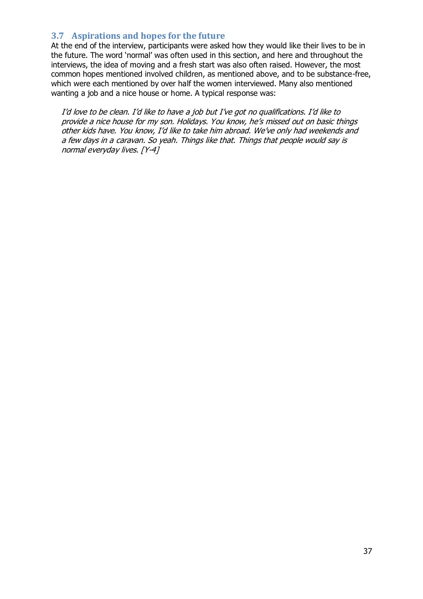# **3.7 Aspirations and hopes for the future**

At the end of the interview, participants were asked how they would like their lives to be in the future. The word 'normal' was often used in this section, and here and throughout the interviews, the idea of moving and a fresh start was also often raised. However, the most common hopes mentioned involved children, as mentioned above, and to be substance-free, which were each mentioned by over half the women interviewed. Many also mentioned wanting a job and a nice house or home. A typical response was:

I'd love to be clean. I'd like to have a job but I've got no qualifications. I'd like to provide a nice house for my son. Holidays. You know, he's missed out on basic things other kids have. You know, I'd like to take him abroad. We've only had weekends and a few days in a caravan. So yeah. Things like that. Things that people would say is normal everyday lives. [Y-4]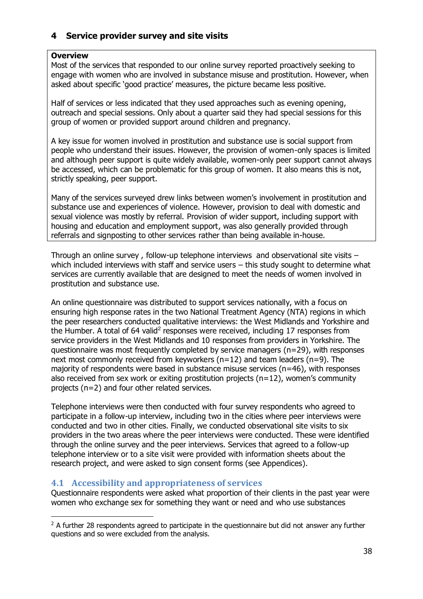# **4 Service provider survey and site visits**

# **Overview**

-

Most of the services that responded to our online survey reported proactively seeking to engage with women who are involved in substance misuse and prostitution. However, when asked about specific 'good practice' measures, the picture became less positive.

Half of services or less indicated that they used approaches such as evening opening, outreach and special sessions. Only about a quarter said they had special sessions for this group of women or provided support around children and pregnancy.

A key issue for women involved in prostitution and substance use is social support from people who understand their issues. However, the provision of women-only spaces is limited and although peer support is quite widely available, women-only peer support cannot always be accessed, which can be problematic for this group of women. It also means this is not, strictly speaking, peer support.

Many of the services surveyed drew links between women's involvement in prostitution and substance use and experiences of violence. However, provision to deal with domestic and sexual violence was mostly by referral. Provision of wider support, including support with housing and education and employment support, was also generally provided through referrals and signposting to other services rather than being available in-house.

Through an online survey, follow-up telephone interviews and observational site visits  $$ which included interviews with staff and service users – this study sought to determine what services are currently available that are designed to meet the needs of women involved in prostitution and substance use.

An online questionnaire was distributed to support services nationally, with a focus on ensuring high response rates in the two National Treatment Agency (NTA) regions in which the peer researchers conducted qualitative interviews: the West Midlands and Yorkshire and the Humber. A total of 64 valid<sup>2</sup> responses were received, including 17 responses from service providers in the West Midlands and 10 responses from providers in Yorkshire. The questionnaire was most frequently completed by service managers (n=29), with responses next most commonly received from keyworkers  $(n=12)$  and team leaders  $(n=9)$ . The majority of respondents were based in substance misuse services ( $n=46$ ), with responses also received from sex work or exiting prostitution projects ( $n=12$ ), women's community projects (n=2) and four other related services.

Telephone interviews were then conducted with four survey respondents who agreed to participate in a follow-up interview, including two in the cities where peer interviews were conducted and two in other cities. Finally, we conducted observational site visits to six providers in the two areas where the peer interviews were conducted. These were identified through the online survey and the peer interviews. Services that agreed to a follow-up telephone interview or to a site visit were provided with information sheets about the research project, and were asked to sign consent forms (see Appendices).

# **4.1 Accessibility and appropriateness of services**

Questionnaire respondents were asked what proportion of their clients in the past year were women who exchange sex for something they want or need and who use substances

 $2$  A further 28 respondents agreed to participate in the questionnaire but did not answer any further questions and so were excluded from the analysis.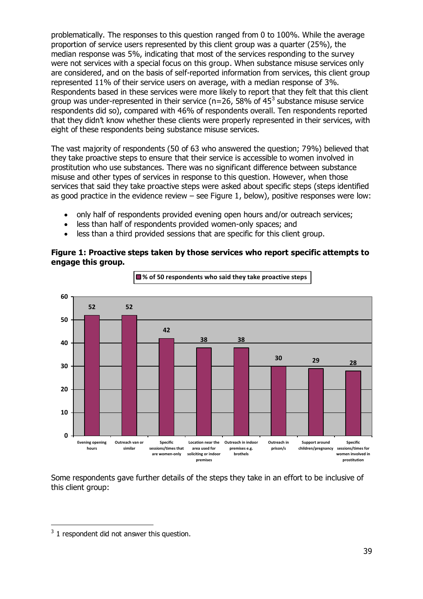problematically. The responses to this question ranged from 0 to 100%. While the average proportion of service users represented by this client group was a quarter (25%), the median response was 5%, indicating that most of the services responding to the survey were not services with a special focus on this group. When substance misuse services only are considered, and on the basis of self-reported information from services, this client group represented 11% of their service users on average, with a median response of 3%. Respondents based in these services were more likely to report that they felt that this client group was under-represented in their service (n=26, 58% of 45<sup>3</sup> substance misuse service respondents did so), compared with 46% of respondents overall. Ten respondents reported that they didn't know whether these clients were properly represented in their services, with eight of these respondents being substance misuse services.

The vast majority of respondents (50 of 63 who answered the question; 79%) believed that they take proactive steps to ensure that their service is accessible to women involved in prostitution who use substances. There was no significant difference between substance misuse and other types of services in response to this question. However, when those services that said they take proactive steps were asked about specific steps (steps identified as good practice in the evidence review – see Figure 1, below), positive responses were low:

- only half of respondents provided evening open hours and/or outreach services;
- less than half of respondents provided women-only spaces; and
- less than a third provided sessions that are specific for this client group.

### **Figure 1: Proactive steps taken by those services who report specific attempts to engage this group.**



Some respondents gave further details of the steps they take in an effort to be inclusive of this client group:

-

 $3$  1 respondent did not answer this question.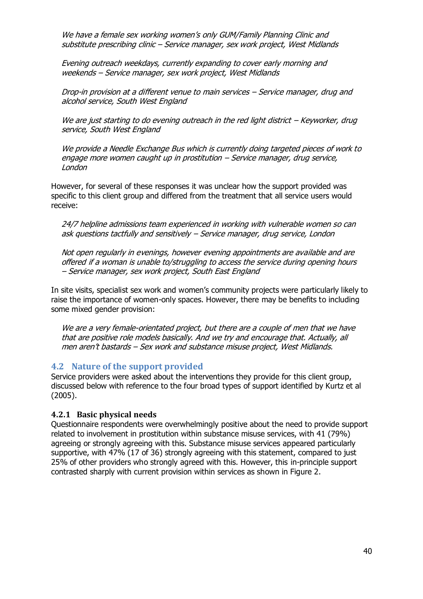We have a female sex working women's only GUM/Family Planning Clinic and substitute prescribing clinic – Service manager, sex work project, West Midlands

Evening outreach weekdays, currently expanding to cover early morning and weekends – Service manager, sex work project, West Midlands

Drop-in provision at a different venue to main services – Service manager, drug and alcohol service, South West England

We are just starting to do evening outreach in the red light district - Keyworker, drug service, South West England

We provide a Needle Exchange Bus which is currently doing targeted pieces of work to engage more women caught up in prostitution – Service manager, drug service, London

However, for several of these responses it was unclear how the support provided was specific to this client group and differed from the treatment that all service users would receive:

24/7 helpline admissions team experienced in working with vulnerable women so can ask questions tactfully and sensitively – Service manager, drug service, London

Not open regularly in evenings, however evening appointments are available and are offered if a woman is unable to/struggling to access the service during opening hours – Service manager, sex work project, South East England

In site visits, specialist sex work and women's community projects were particularly likely to raise the importance of women-only spaces. However, there may be benefits to including some mixed gender provision:

We are a very female-orientated project, but there are a couple of men that we have that are positive role models basically. And we try and encourage that. Actually, all men aren't bastards – Sex work and substance misuse project, West Midlands.

### **4.2 Nature of the support provided**

Service providers were asked about the interventions they provide for this client group, discussed below with reference to the four broad types of support identified by Kurtz et al (2005).

### **4.2.1 Basic physical needs**

Questionnaire respondents were overwhelmingly positive about the need to provide support related to involvement in prostitution within substance misuse services, with 41 (79%) agreeing or strongly agreeing with this. Substance misuse services appeared particularly supportive, with 47% (17 of 36) strongly agreeing with this statement, compared to just 25% of other providers who strongly agreed with this. However, this in-principle support contrasted sharply with current provision within services as shown in Figure 2.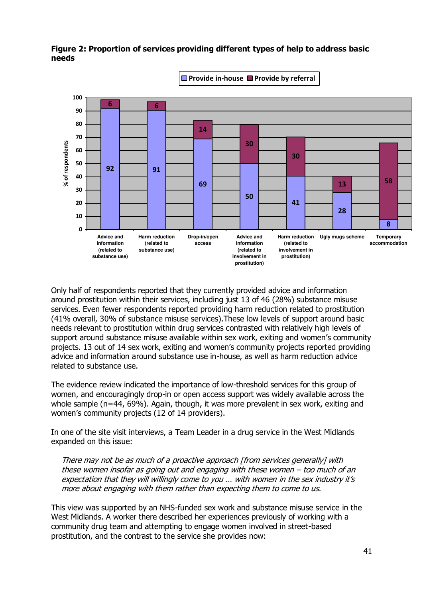

# **Figure 2: Proportion of services providing different types of help to address basic needs**

Only half of respondents reported that they currently provided advice and information around prostitution within their services, including just 13 of 46 (28%) substance misuse services. Even fewer respondents reported providing harm reduction related to prostitution (41% overall, 30% of substance misuse services).These low levels of support around basic needs relevant to prostitution within drug services contrasted with relatively high levels of support around substance misuse available within sex work, exiting and women's community projects. 13 out of 14 sex work, exiting and women's community projects reported providing advice and information around substance use in-house, as well as harm reduction advice related to substance use.

The evidence review indicated the importance of low-threshold services for this group of women, and encouragingly drop-in or open access support was widely available across the whole sample (n=44, 69%). Again, though, it was more prevalent in sex work, exiting and women's community projects (12 of 14 providers).

In one of the site visit interviews, a Team Leader in a drug service in the West Midlands expanded on this issue:

There may not be as much of a proactive approach [from services generally] with these women insofar as going out and engaging with these women – too much of an expectation that they will willingly come to you … with women in the sex industry it's more about engaging with them rather than expecting them to come to us.

This view was supported by an NHS-funded sex work and substance misuse service in the West Midlands. A worker there described her experiences previously of working with a community drug team and attempting to engage women involved in street-based prostitution, and the contrast to the service she provides now: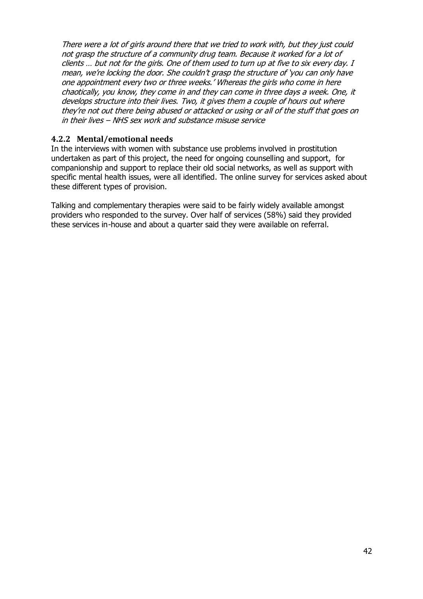There were a lot of girls around there that we tried to work with, but they just could not grasp the structure of a community drug team. Because it worked for a lot of clients … but not for the girls. One of them used to turn up at five to six every day. I mean, we're locking the door. She couldn't grasp the structure of 'you can only have one appointment every two or three weeks.' Whereas the girls who come in here chaotically, you know, they come in and they can come in three days a week. One, it develops structure into their lives. Two, it gives them a couple of hours out where they're not out there being abused or attacked or using or all of the stuff that goes on in their lives – NHS sex work and substance misuse service

# **4.2.2 Mental/emotional needs**

In the interviews with women with substance use problems involved in prostitution undertaken as part of this project, the need for ongoing counselling and support, for companionship and support to replace their old social networks, as well as support with specific mental health issues, were all identified. The online survey for services asked about these different types of provision.

Talking and complementary therapies were said to be fairly widely available amongst providers who responded to the survey. Over half of services (58%) said they provided these services in-house and about a quarter said they were available on referral.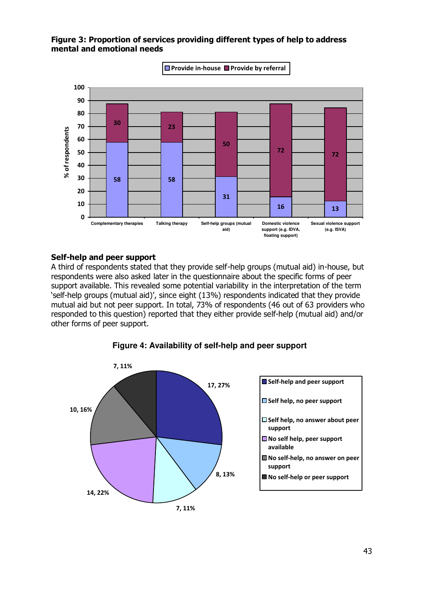# **Figure 3: Proportion of services providing different types of help to address mental and emotional needs**



## **Self-help and peer support**

A third of respondents stated that they provide self-help groups (mutual aid) in-house, but respondents were also asked later in the questionnaire about the specific forms of peer support available. This revealed some potential variability in the interpretation of the term 'self-help groups (mutual aid)', since eight (13%) respondents indicated that they provide mutual aid but not peer support. In total, 73% of respondents (46 out of 63 providers who responded to this question) reported that they either provide self-help (mutual aid) and/or other forms of peer support.



# **Figure 4: Availability of self-help and peer support**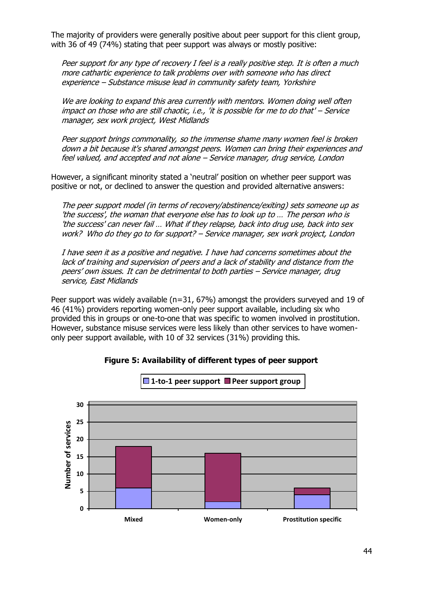The majority of providers were generally positive about peer support for this client group, with 36 of 49 (74%) stating that peer support was always or mostly positive:

Peer support for any type of recovery I feel is a really positive step. It is often a much more cathartic experience to talk problems over with someone who has direct experience – Substance misuse lead in community safety team, Yorkshire

We are looking to expand this area currently with mentors. Women doing well often impact on those who are still chaotic, i.e., 'it is possible for me to do that' – Service manager, sex work project, West Midlands

Peer support brings commonality, so the immense shame many women feel is broken down a bit because it's shared amongst peers. Women can bring their experiences and feel valued, and accepted and not alone – Service manager, drug service, London

However, a significant minority stated a 'neutral' position on whether peer support was positive or not, or declined to answer the question and provided alternative answers:

The peer support model (in terms of recovery/abstinence/exiting) sets someone up as 'the success', the woman that everyone else has to look up to … The person who is 'the success' can never fail … What if they relapse, back into drug use, back into sex work? Who do they go to for support? – Service manager, sex work project, London

I have seen it as a positive and negative. I have had concerns sometimes about the lack of training and supervision of peers and a lack of stability and distance from the peers' own issues. It can be detrimental to both parties – Service manager, drug service, East Midlands

Peer support was widely available (n=31, 67%) amongst the providers surveyed and 19 of 46 (41%) providers reporting women-only peer support available, including six who provided this in groups or one-to-one that was specific to women involved in prostitution. However, substance misuse services were less likely than other services to have womenonly peer support available, with 10 of 32 services (31%) providing this.



**Figure 5: Availability of different types of peer support**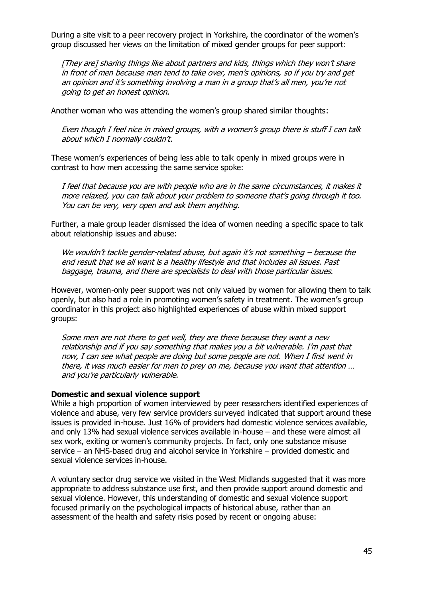During a site visit to a peer recovery project in Yorkshire, the coordinator of the women's group discussed her views on the limitation of mixed gender groups for peer support:

[They are] sharing things like about partners and kids, things which they won't share in front of men because men tend to take over, men's opinions, so if you try and get an opinion and it's something involving a man in a group that's all men, you're not going to get an honest opinion.

Another woman who was attending the women's group shared similar thoughts:

Even though I feel nice in mixed groups, with a women's group there is stuff I can talk about which I normally couldn't.

These women's experiences of being less able to talk openly in mixed groups were in contrast to how men accessing the same service spoke:

I feel that because you are with people who are in the same circumstances, it makes it more relaxed, you can talk about your problem to someone that's going through it too. You can be very, very open and ask them anything.

Further, a male group leader dismissed the idea of women needing a specific space to talk about relationship issues and abuse:

We wouldn't tackle gender-related abuse, but again it's not something - because the end result that we all want is a healthy lifestyle and that includes all issues. Past baggage, trauma, and there are specialists to deal with those particular issues.

However, women-only peer support was not only valued by women for allowing them to talk openly, but also had a role in promoting women's safety in treatment. The women's group coordinator in this project also highlighted experiences of abuse within mixed support groups:

Some men are not there to get well, they are there because they want a new relationship and if you say something that makes you a bit vulnerable. I'm past that now, I can see what people are doing but some people are not. When I first went in there, it was much easier for men to prey on me, because you want that attention … and you're particularly vulnerable.

## **Domestic and sexual violence support**

While a high proportion of women interviewed by peer researchers identified experiences of violence and abuse, very few service providers surveyed indicated that support around these issues is provided in-house. Just 16% of providers had domestic violence services available, and only 13% had sexual violence services available in-house – and these were almost all sex work, exiting or women's community projects. In fact, only one substance misuse service – an NHS-based drug and alcohol service in Yorkshire – provided domestic and sexual violence services in-house.

A voluntary sector drug service we visited in the West Midlands suggested that it was more appropriate to address substance use first, and then provide support around domestic and sexual violence. However, this understanding of domestic and sexual violence support focused primarily on the psychological impacts of historical abuse, rather than an assessment of the health and safety risks posed by recent or ongoing abuse: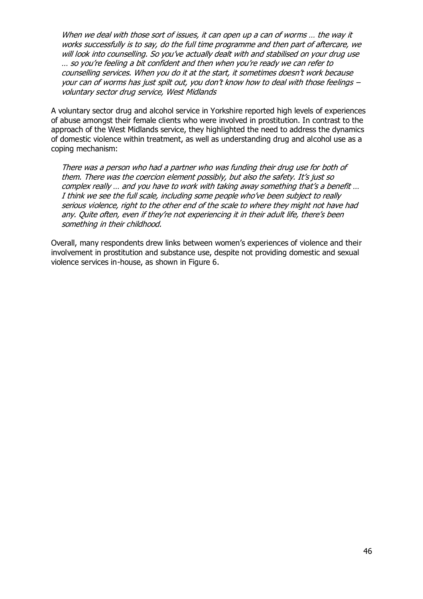When we deal with those sort of issues, it can open up a can of worms ... the way it works successfully is to say, do the full time programme and then part of aftercare, we will look into counselling. So you've actually dealt with and stabilised on your drug use … so you're feeling a bit confident and then when you're ready we can refer to counselling services. When you do it at the start, it sometimes doesn't work because your can of worms has just spilt out, you don't know how to deal with those feelings – voluntary sector drug service, West Midlands

A voluntary sector drug and alcohol service in Yorkshire reported high levels of experiences of abuse amongst their female clients who were involved in prostitution. In contrast to the approach of the West Midlands service, they highlighted the need to address the dynamics of domestic violence within treatment, as well as understanding drug and alcohol use as a coping mechanism:

There was a person who had a partner who was funding their drug use for both of them. There was the coercion element possibly, but also the safety. It's just so complex really … and you have to work with taking away something that's a benefit … I think we see the full scale, including some people who've been subject to really serious violence, right to the other end of the scale to where they might not have had any. Quite often, even if they're not experiencing it in their adult life, there's been something in their childhood.

Overall, many respondents drew links between women's experiences of violence and their involvement in prostitution and substance use, despite not providing domestic and sexual violence services in-house, as shown in Figure 6.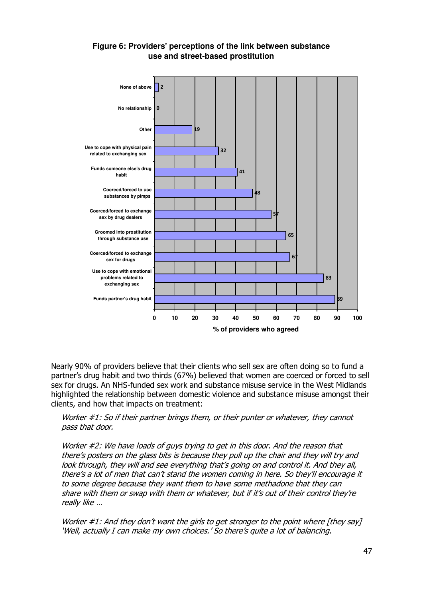

# **Figure 6: Providers' perceptions of the link between substance use and street-based prostitution**

Nearly 90% of providers believe that their clients who sell sex are often doing so to fund a partner's drug habit and two thirds (67%) believed that women are coerced or forced to sell sex for drugs. An NHS-funded sex work and substance misuse service in the West Midlands highlighted the relationship between domestic violence and substance misuse amongst their clients, and how that impacts on treatment:

## Worker #1: So if their partner brings them, or their punter or whatever, they cannot pass that door.

Worker #2: We have loads of guys trying to get in this door. And the reason that there's posters on the glass bits is because they pull up the chair and they will try and look through, they will and see everything that's going on and control it. And they all, there's a lot of men that can't stand the women coming in here. So they'll encourage it to some degree because they want them to have some methadone that they can share with them or swap with them or whatever, but if it's out of their control they're really like …

Worker  $\#1$ : And they don't want the girls to get stronger to the point where [they say] 'Well, actually I can make my own choices.' So there's quite a lot of balancing.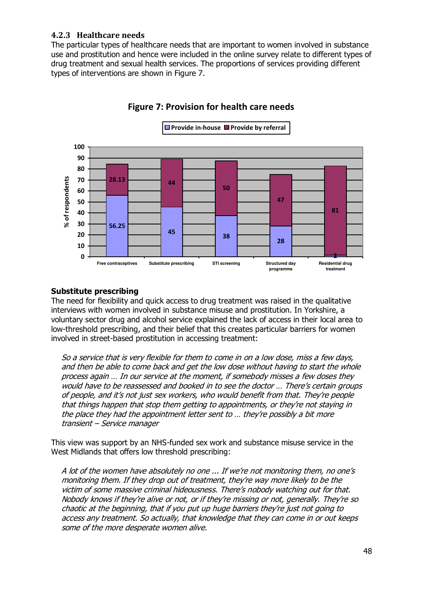# **4.2.3 Healthcare needs**

The particular types of healthcare needs that are important to women involved in substance use and prostitution and hence were included in the online survey relate to different types of drug treatment and sexual health services. The proportions of services providing different types of interventions are shown in Figure 7.



# **Figure 7: Provision for health care needs**

### **Substitute prescribing**

The need for flexibility and quick access to drug treatment was raised in the qualitative interviews with women involved in substance misuse and prostitution. In Yorkshire, a voluntary sector drug and alcohol service explained the lack of access in their local area to low-threshold prescribing, and their belief that this creates particular barriers for women involved in street-based prostitution in accessing treatment:

So a service that is very flexible for them to come in on a low dose, miss a few days, and then be able to come back and get the low dose without having to start the whole process again … In our service at the moment, if somebody misses a few doses they would have to be reassessed and booked in to see the doctor … There's certain groups of people, and it's not just sex workers, who would benefit from that. They're people that things happen that stop them getting to appointments, or they're not staying in the place they had the appointment letter sent to … they're possibly a bit more transient – Service manager

This view was support by an NHS-funded sex work and substance misuse service in the West Midlands that offers low threshold prescribing:

A lot of the women have absolutely no one ... If we're not monitoring them, no one's monitoring them. If they drop out of treatment, they're way more likely to be the victim of some massive criminal hideousness. There's nobody watching out for that. Nobody knows if they're alive or not, or if they're missing or not, generally. They're so chaotic at the beginning, that if you put up huge barriers they're just not going to access any treatment. So actually, that knowledge that they can come in or out keeps some of the more desperate women alive.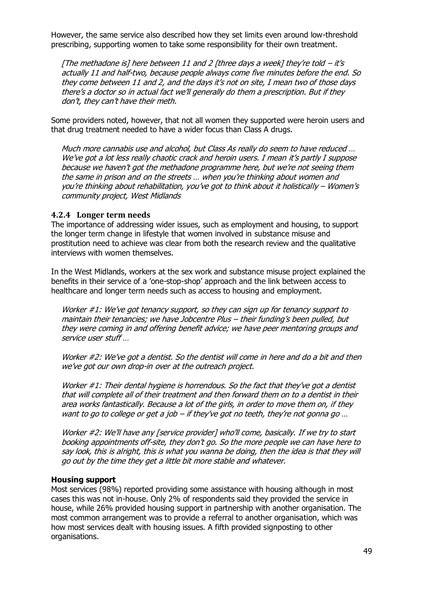However, the same service also described how they set limits even around low-threshold prescribing, supporting women to take some responsibility for their own treatment.

[The methadone is] here between 11 and 2 [three days a week] they're told  $-$  it's actually 11 and half-two, because people always come five minutes before the end. So they come between 11 and 2, and the days it's not on site, I mean two of those days there's a doctor so in actual fact we'll generally do them a prescription. But if they don't, they can't have their meth.

Some providers noted, however, that not all women they supported were heroin users and that drug treatment needed to have a wider focus than Class A drugs.

Much more cannabis use and alcohol, but Class As really do seem to have reduced … We've got a lot less really chaotic crack and heroin users. I mean it's partly I suppose because we haven't got the methadone programme here, but we're not seeing them the same in prison and on the streets … when you're thinking about women and you're thinking about rehabilitation, you've got to think about it holistically – Women's community project, West Midlands

#### **4.2.4 Longer term needs**

The importance of addressing wider issues, such as employment and housing, to support the longer term change in lifestyle that women involved in substance misuse and prostitution need to achieve was clear from both the research review and the qualitative interviews with women themselves.

In the West Midlands, workers at the sex work and substance misuse project explained the benefits in their service of a 'one-stop-shop' approach and the link between access to healthcare and longer term needs such as access to housing and employment.

Worker #1: We've got tenancy support, so they can sign up for tenancy support to maintain their tenancies; we have Jobcentre Plus – their funding's been pulled, but they were coming in and offering benefit advice; we have peer mentoring groups and service user stuff …

Worker #2: We've got a dentist. So the dentist will come in here and do a bit and then we've got our own drop-in over at the outreach project.

Worker #1: Their dental hygiene is horrendous. So the fact that they've got a dentist that will complete all of their treatment and then forward them on to a dentist in their area works fantastically. Because a lot of the girls, in order to move them on, if they want to go to college or get a job – if they've got no teeth, they're not gonna go ...

Worker #2: We'll have any [service provider] who'll come, basically. If we try to start booking appointments off-site, they don't go. So the more people we can have here to say look, this is alright, this is what you wanna be doing, then the idea is that they will go out by the time they get a little bit more stable and whatever.

### **Housing support**

Most services (98%) reported providing some assistance with housing although in most cases this was not in-house. Only 2% of respondents said they provided the service in house, while 26% provided housing support in partnership with another organisation. The most common arrangement was to provide a referral to another organisation, which was how most services dealt with housing issues. A fifth provided signposting to other organisations.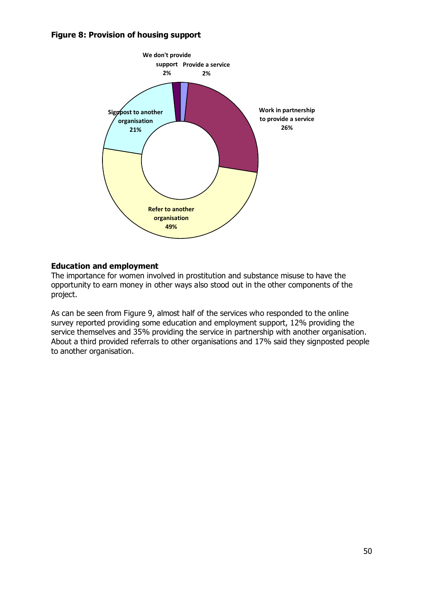## **Figure 8: Provision of housing support**



## **Education and employment**

The importance for women involved in prostitution and substance misuse to have the opportunity to earn money in other ways also stood out in the other components of the project.

As can be seen from Figure 9, almost half of the services who responded to the online survey reported providing some education and employment support, 12% providing the service themselves and 35% providing the service in partnership with another organisation. About a third provided referrals to other organisations and 17% said they signposted people to another organisation.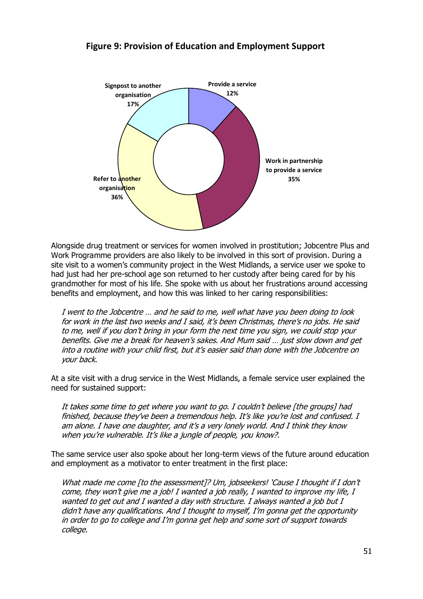

Alongside drug treatment or services for women involved in prostitution; Jobcentre Plus and Work Programme providers are also likely to be involved in this sort of provision. During a site visit to a women's community project in the West Midlands, a service user we spoke to had just had her pre-school age son returned to her custody after being cared for by his grandmother for most of his life. She spoke with us about her frustrations around accessing benefits and employment, and how this was linked to her caring responsibilities:

I went to the Jobcentre … and he said to me, well what have you been doing to look for work in the last two weeks and I said, it's been Christmas, there's no jobs. He said to me, well if you don't bring in your form the next time you sign, we could stop your benefits. Give me a break for heaven's sakes. And Mum said … just slow down and get into a routine with your child first, but it's easier said than done with the Jobcentre on your back.

At a site visit with a drug service in the West Midlands, a female service user explained the need for sustained support:

It takes some time to get where you want to go. I couldn't believe [the groups] had finished, because they've been a tremendous help. It's like you're lost and confused. I am alone. I have one daughter, and it's a very lonely world. And I think they know when you're vulnerable. It's like a jungle of people, you know?.

The same service user also spoke about her long-term views of the future around education and employment as a motivator to enter treatment in the first place:

What made me come [to the assessment]? Um, jobseekers! 'Cause I thought if I don't come, they won't give me a job! I wanted a job really, I wanted to improve my life, I wanted to get out and I wanted a day with structure. I always wanted a job but I didn't have any qualifications. And I thought to myself, I'm gonna get the opportunity in order to go to college and I'm gonna get help and some sort of support towards college.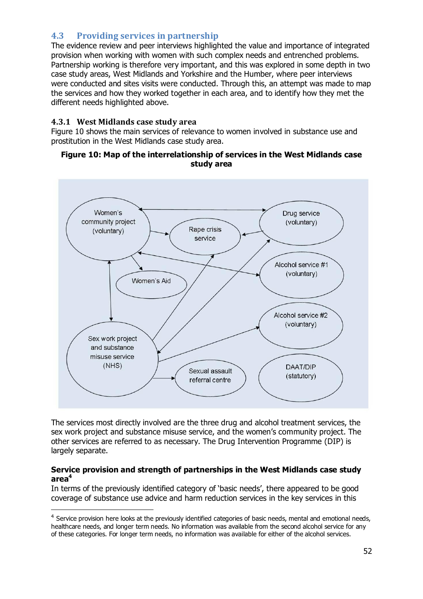# **4.3 Providing services in partnership**

The evidence review and peer interviews highlighted the value and importance of integrated provision when working with women with such complex needs and entrenched problems. Partnership working is therefore very important, and this was explored in some depth in two case study areas, West Midlands and Yorkshire and the Humber, where peer interviews were conducted and sites visits were conducted. Through this, an attempt was made to map the services and how they worked together in each area, and to identify how they met the different needs highlighted above.

# **4.3.1 West Midlands case study area**

-

Figure 10 shows the main services of relevance to women involved in substance use and prostitution in the West Midlands case study area.

## **Figure 10: Map of the interrelationship of services in the West Midlands case study area**



The services most directly involved are the three drug and alcohol treatment services, the sex work project and substance misuse service, and the women's community project. The other services are referred to as necessary. The Drug Intervention Programme (DIP) is largely separate.

### **Service provision and strength of partnerships in the West Midlands case study area<sup>4</sup>**

In terms of the previously identified category of 'basic needs', there appeared to be good coverage of substance use advice and harm reduction services in the key services in this

<sup>&</sup>lt;sup>4</sup> Service provision here looks at the previously identified categories of basic needs, mental and emotional needs, healthcare needs, and longer term needs. No information was available from the second alcohol service for any of these categories. For longer term needs, no information was available for either of the alcohol services.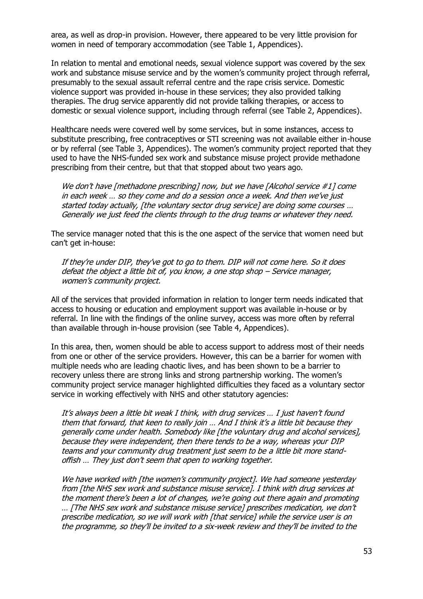area, as well as drop-in provision. However, there appeared to be very little provision for women in need of temporary accommodation (see Table 1, Appendices).

In relation to mental and emotional needs, sexual violence support was covered by the sex work and substance misuse service and by the women's community project through referral, presumably to the sexual assault referral centre and the rape crisis service. Domestic violence support was provided in-house in these services; they also provided talking therapies. The drug service apparently did not provide talking therapies, or access to domestic or sexual violence support, including through referral (see Table 2, Appendices).

Healthcare needs were covered well by some services, but in some instances, access to substitute prescribing, free contraceptives or STI screening was not available either in-house or by referral (see Table 3, Appendices). The women's community project reported that they used to have the NHS-funded sex work and substance misuse project provide methadone prescribing from their centre, but that that stopped about two years ago.

We don't have [methadone prescribing] now, but we have [Alcohol service #1] come in each week … so they come and do a session once a week. And then we've just started today actually, [the voluntary sector drug service] are doing some courses … Generally we just feed the clients through to the drug teams or whatever they need.

The service manager noted that this is the one aspect of the service that women need but can't get in-house:

If they're under DIP, they've got to go to them. DIP will not come here. So it does defeat the object a little bit of, you know, a one stop shop – Service manager, women's community project.

All of the services that provided information in relation to longer term needs indicated that access to housing or education and employment support was available in-house or by referral. In line with the findings of the online survey, access was more often by referral than available through in-house provision (see Table 4, Appendices).

In this area, then, women should be able to access support to address most of their needs from one or other of the service providers. However, this can be a barrier for women with multiple needs who are leading chaotic lives, and has been shown to be a barrier to recovery unless there are strong links and strong partnership working. The women's community project service manager highlighted difficulties they faced as a voluntary sector service in working effectively with NHS and other statutory agencies:

It's always been a little bit weak I think, with drug services … I just haven't found them that forward, that keen to really join … And I think it's a little bit because they generally come under health. Somebody like [the voluntary drug and alcohol services], because they were independent, then there tends to be a way, whereas your DIP teams and your community drug treatment just seem to be a little bit more standoffish … They just don't seem that open to working together.

We have worked with [the women's community project]. We had someone yesterday from [the NHS sex work and substance misuse service]. I think with drug services at the moment there's been a lot of changes, we're going out there again and promoting … [The NHS sex work and substance misuse service] prescribes medication, we don't prescribe medication, so we will work with [that service] while the service user is on the programme, so they'll be invited to a six-week review and they'll be invited to the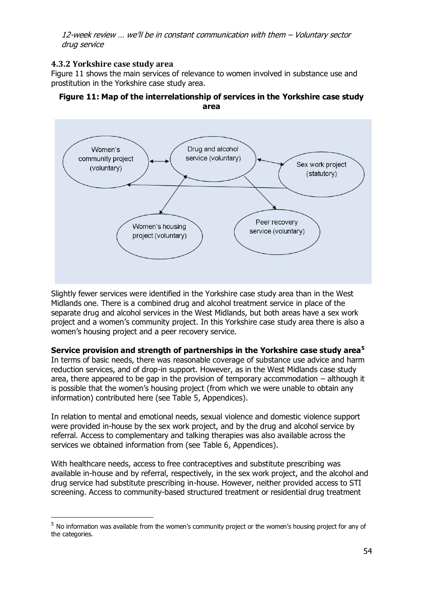12-week review … we'll be in constant communication with them – Voluntary sector drug service

# **4.3.2 Yorkshire case study area**

-

Figure 11 shows the main services of relevance to women involved in substance use and prostitution in the Yorkshire case study area.

### **Figure 11: Map of the interrelationship of services in the Yorkshire case study area**



Slightly fewer services were identified in the Yorkshire case study area than in the West Midlands one. There is a combined drug and alcohol treatment service in place of the separate drug and alcohol services in the West Midlands, but both areas have a sex work project and a women's community project. In this Yorkshire case study area there is also a women's housing project and a peer recovery service.

# **Service provision and strength of partnerships in the Yorkshire case study area<sup>5</sup>**

In terms of basic needs, there was reasonable coverage of substance use advice and harm reduction services, and of drop-in support. However, as in the West Midlands case study area, there appeared to be gap in the provision of temporary accommodation – although it is possible that the women's housing project (from which we were unable to obtain any information) contributed here (see Table 5, Appendices).

In relation to mental and emotional needs, sexual violence and domestic violence support were provided in-house by the sex work project, and by the drug and alcohol service by referral. Access to complementary and talking therapies was also available across the services we obtained information from (see Table 6, Appendices).

With healthcare needs, access to free contraceptives and substitute prescribing was available in-house and by referral, respectively, in the sex work project, and the alcohol and drug service had substitute prescribing in-house. However, neither provided access to STI screening. Access to community-based structured treatment or residential drug treatment

<sup>&</sup>lt;sup>5</sup> No information was available from the women's community project or the women's housing project for any of the categories.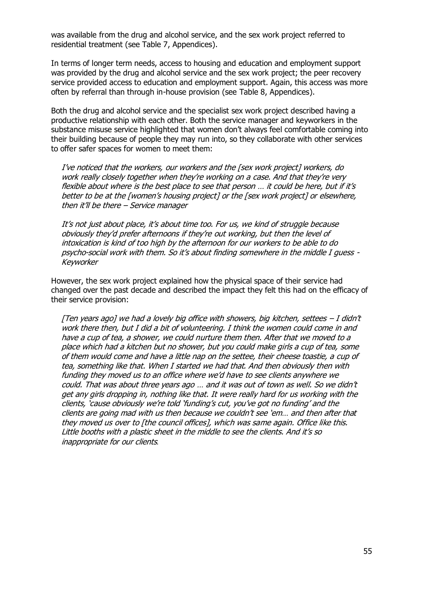was available from the drug and alcohol service, and the sex work project referred to residential treatment (see Table 7, Appendices).

In terms of longer term needs, access to housing and education and employment support was provided by the drug and alcohol service and the sex work project; the peer recovery service provided access to education and employment support. Again, this access was more often by referral than through in-house provision (see Table 8, Appendices).

Both the drug and alcohol service and the specialist sex work project described having a productive relationship with each other. Both the service manager and keyworkers in the substance misuse service highlighted that women don't always feel comfortable coming into their building because of people they may run into, so they collaborate with other services to offer safer spaces for women to meet them:

I've noticed that the workers, our workers and the [sex work project] workers, do work really closely together when they're working on a case. And that they're very flexible about where is the best place to see that person … it could be here, but if it's better to be at the [women's housing project] or the [sex work project] or elsewhere, then it'll be there – Service manager

It's not just about place, it's about time too. For us, we kind of struggle because obviously they'd prefer afternoons if they're out working, but then the level of intoxication is kind of too high by the afternoon for our workers to be able to do psycho-social work with them. So it's about finding somewhere in the middle I guess - Keyworker

However, the sex work project explained how the physical space of their service had changed over the past decade and described the impact they felt this had on the efficacy of their service provision:

[Ten years ago] we had a lovely big office with showers, big kitchen, settees  $-I$  didn't work there then, but I did a bit of volunteering. I think the women could come in and have a cup of tea, a shower, we could nurture them then. After that we moved to a place which had a kitchen but no shower, but you could make girls a cup of tea, some of them would come and have a little nap on the settee, their cheese toastie, a cup of tea, something like that. When I started we had that. And then obviously then with funding they moved us to an office where we'd have to see clients anywhere we could. That was about three years ago … and it was out of town as well. So we didn't get any girls dropping in, nothing like that. It were really hard for us working with the clients, 'cause obviously we're told 'funding's cut, you've got no funding' and the clients are going mad with us then because we couldn't see 'em… and then after that they moved us over to [the council offices], which was same again. Office like this. Little booths with a plastic sheet in the middle to see the clients. And it's so inappropriate for our clients*.*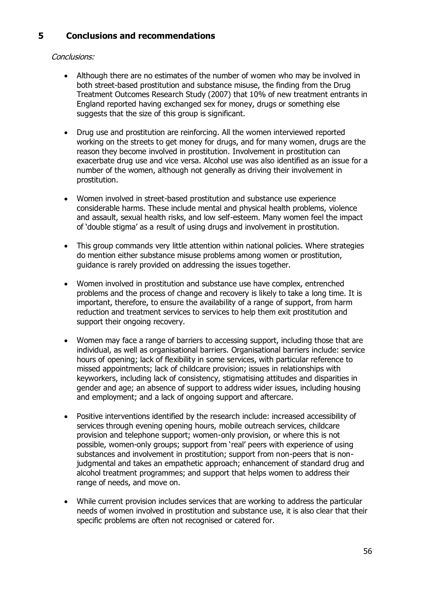# **5 Conclusions and recommendations**

# Conclusions:

- Although there are no estimates of the number of women who may be involved in both street-based prostitution and substance misuse, the finding from the Drug Treatment Outcomes Research Study (2007) that 10% of new treatment entrants in England reported having exchanged sex for money, drugs or something else suggests that the size of this group is significant.
- Drug use and prostitution are reinforcing. All the women interviewed reported working on the streets to get money for drugs, and for many women, drugs are the reason they become involved in prostitution. Involvement in prostitution can exacerbate drug use and vice versa. Alcohol use was also identified as an issue for a number of the women, although not generally as driving their involvement in prostitution.
- Women involved in street-based prostitution and substance use experience considerable harms. These include mental and physical health problems, violence and assault, sexual health risks, and low self-esteem. Many women feel the impact of 'double stigma' as a result of using drugs and involvement in prostitution.
- This group commands very little attention within national policies. Where strategies do mention either substance misuse problems among women or prostitution, guidance is rarely provided on addressing the issues together.
- Women involved in prostitution and substance use have complex, entrenched problems and the process of change and recovery is likely to take a long time. It is important, therefore, to ensure the availability of a range of support, from harm reduction and treatment services to services to help them exit prostitution and support their ongoing recovery.
- Women may face a range of barriers to accessing support, including those that are individual, as well as organisational barriers. Organisational barriers include: service hours of opening; lack of flexibility in some services, with particular reference to missed appointments; lack of childcare provision; issues in relationships with keyworkers, including lack of consistency, stigmatising attitudes and disparities in gender and age; an absence of support to address wider issues, including housing and employment; and a lack of ongoing support and aftercare.
- Positive interventions identified by the research include: increased accessibility of services through evening opening hours, mobile outreach services, childcare provision and telephone support; women-only provision, or where this is not possible, women-only groups; support from 'real' peers with experience of using substances and involvement in prostitution; support from non-peers that is nonjudgmental and takes an empathetic approach; enhancement of standard drug and alcohol treatment programmes; and support that helps women to address their range of needs, and move on.
- While current provision includes services that are working to address the particular needs of women involved in prostitution and substance use, it is also clear that their specific problems are often not recognised or catered for.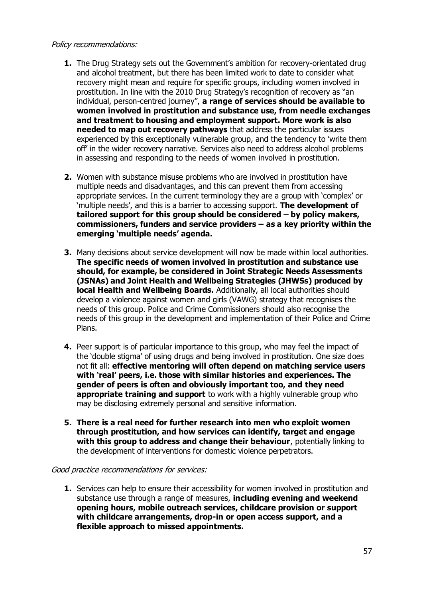### Policy recommendations:

- **1.** The Drug Strategy sets out the Government's ambition for recovery-orientated drug and alcohol treatment, but there has been limited work to date to consider what recovery might mean and require for specific groups, including women involved in prostitution. In line with the 2010 Drug Strategy's recognition of recovery as "an individual, person-centred journey", **a range of services should be available to women involved in prostitution and substance use, from needle exchanges and treatment to housing and employment support. More work is also needed to map out recovery pathways** that address the particular issues experienced by this exceptionally vulnerable group, and the tendency to 'write them off' in the wider recovery narrative. Services also need to address alcohol problems in assessing and responding to the needs of women involved in prostitution.
- **2.** Women with substance misuse problems who are involved in prostitution have multiple needs and disadvantages, and this can prevent them from accessing appropriate services. In the current terminology they are a group with 'complex' or 'multiple needs', and this is a barrier to accessing support. **The development of tailored support for this group should be considered – by policy makers, commissioners, funders and service providers – as a key priority within the emerging 'multiple needs' agenda.**
- **3.** Many decisions about service development will now be made within local authorities. **The specific needs of women involved in prostitution and substance use should, for example, be considered in Joint Strategic Needs Assessments (JSNAs) and Joint Health and Wellbeing Strategies (JHWSs) produced by local Health and Wellbeing Boards.** Additionally, all local authorities should develop a violence against women and girls (VAWG) strategy that recognises the needs of this group. Police and Crime Commissioners should also recognise the needs of this group in the development and implementation of their Police and Crime Plans.
- **4.** Peer support is of particular importance to this group, who may feel the impact of the 'double stigma' of using drugs and being involved in prostitution. One size does not fit all: **effective mentoring will often depend on matching service users with 'real' peers, i.e. those with similar histories and experiences. The gender of peers is often and obviously important too, and they need appropriate training and support** to work with a highly vulnerable group who may be disclosing extremely personal and sensitive information.
- **5. There is a real need for further research into men who exploit women through prostitution, and how services can identify, target and engage with this group to address and change their behaviour**, potentially linking to the development of interventions for domestic violence perpetrators.

### Good practice recommendations for services:

**1.** Services can help to ensure their accessibility for women involved in prostitution and substance use through a range of measures, **including evening and weekend opening hours, mobile outreach services, childcare provision or support with childcare arrangements, drop-in or open access support, and a flexible approach to missed appointments.**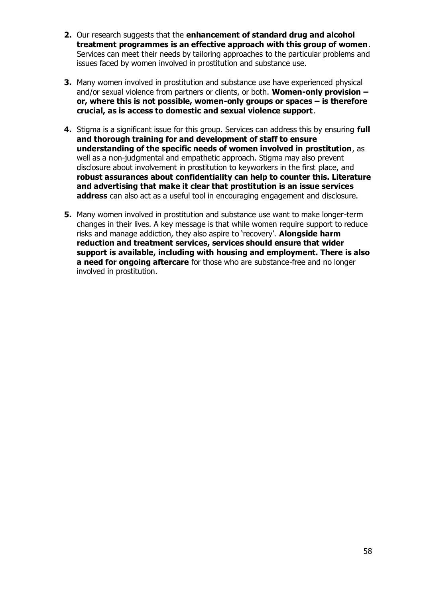- **2.** Our research suggests that the **enhancement of standard drug and alcohol treatment programmes is an effective approach with this group of women**. Services can meet their needs by tailoring approaches to the particular problems and issues faced by women involved in prostitution and substance use.
- **3.** Many women involved in prostitution and substance use have experienced physical and/or sexual violence from partners or clients, or both. **Women-only provision – or, where this is not possible, women-only groups or spaces – is therefore crucial, as is access to domestic and sexual violence support**.
- **4.** Stigma is a significant issue for this group. Services can address this by ensuring **full and thorough training for and development of staff to ensure understanding of the specific needs of women involved in prostitution**, as well as a non-judgmental and empathetic approach. Stigma may also prevent disclosure about involvement in prostitution to keyworkers in the first place, and **robust assurances about confidentiality can help to counter this. Literature and advertising that make it clear that prostitution is an issue services address** can also act as a useful tool in encouraging engagement and disclosure.
- **5.** Many women involved in prostitution and substance use want to make longer-term changes in their lives. A key message is that while women require support to reduce risks and manage addiction, they also aspire to 'recovery'. **Alongside harm reduction and treatment services, services should ensure that wider support is available, including with housing and employment. There is also a need for ongoing aftercare** for those who are substance-free and no longer involved in prostitution.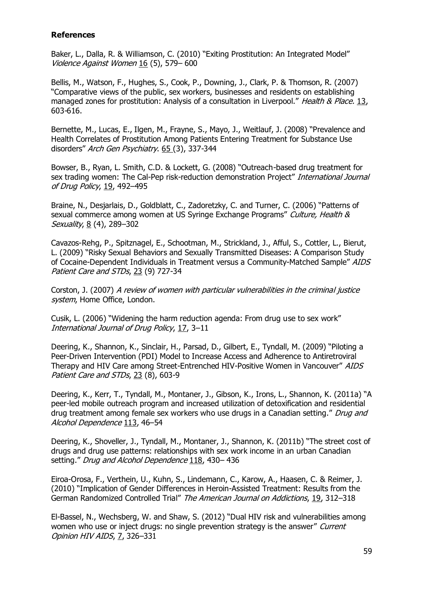## **References**

Baker, L., Dalla, R. & Williamson, C. (2010) "Exiting Prostitution: An Integrated Model" Violence Against Women 16 (5), 579– 600

Bellis, M., Watson, F., Hughes, S., Cook, P., Downing, J., Clark, P. & Thomson, R. (2007) "Comparative views of the public, sex workers, businesses and residents on establishing managed zones for prostitution: Analysis of a consultation in Liverpool." Health & Place. 13, 603-616.

Bernette, M., Lucas, E., Ilgen, M., Frayne, S., Mayo, J., Weitlauf, J. (2008) "Prevalence and Health Correlates of Prostitution Among Patients Entering Treatment for Substance Use disorders" Arch Gen Psychiatry. 65 (3), 337-344

Bowser, B., Ryan, L. Smith, C.D. & Lockett, G. (2008) "Outreach-based drug treatment for sex trading women: The Cal-Pep risk-reduction demonstration Project" International Journal of Drug Policy, 19, 492–495

Braine, N., Desjarlais, D., Goldblatt, C., Zadoretzky, C. and Turner, C. (2006) "Patterns of sexual commerce among women at US Syringe Exchange Programs" Culture, Health & Sexuality, 8 (4), 289–302

Cavazos-Rehg, P., Spitznagel, E., Schootman, M., Strickland, J., Afful, S., Cottler, L., Bierut, L. (2009) "Risky Sexual Behaviors and Sexually Transmitted Diseases: A Comparison Study of Cocaine-Dependent Individuals in Treatment versus a Community-Matched Sample" AIDS Patient Care and STDs, 23 (9) 727-34

Corston, J. (2007) A review of women with particular vulnerabilities in the criminal justice system, Home Office, London.

Cusik, L. (2006) "Widening the harm reduction agenda: From drug use to sex work" International Journal of Drug Policy, 17, 3–11

Deering, K., Shannon, K., Sinclair, H., Parsad, D., Gilbert, E., Tyndall, M. (2009) "Piloting a Peer-Driven Intervention (PDI) Model to Increase Access and Adherence to Antiretroviral Therapy and HIV Care among Street-Entrenched HIV-Positive Women in Vancouver" AIDS Patient Care and STDs, 23 (8), 603-9

Deering, K., Kerr, T., Tyndall, M., Montaner, J., Gibson, K., Irons, L., Shannon, K. (2011a) "A peer-led mobile outreach program and increased utilization of detoxification and residential drug treatment among female sex workers who use drugs in a Canadian setting." Drug and Alcohol Dependence 113, 46–54

Deering, K., Shoveller, J., Tyndall, M., Montaner, J., Shannon, K. (2011b) "The street cost of drugs and drug use patterns: relationships with sex work income in an urban Canadian setting." Drug and Alcohol Dependence 118, 430-436

Eiroa-Orosa, F., Verthein, U., Kuhn, S., Lindemann, C., Karow, A., Haasen, C. & Reimer, J. (2010) "Implication of Gender Differences in Heroin-Assisted Treatment: Results from the German Randomized Controlled Trial" The American Journal on Addictions, 19, 312–318

El-Bassel, N., Wechsberg, W. and Shaw, S. (2012) "Dual HIV risk and vulnerabilities among women who use or inject drugs: no single prevention strategy is the answer" Current Opinion HIV AIDS, 7, 326–331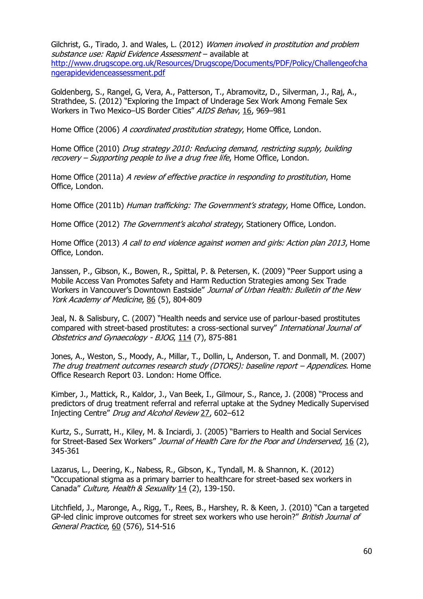Gilchrist, G., Tirado, J. and Wales, L. (2012) Women involved in prostitution and problem substance use: Rapid Evidence Assessment - available at [http://www.drugscope.org.uk/Resources/Drugscope/Documents/PDF/Policy/Challengeofcha](http://www.drugscope.org.uk/Resources/Drugscope/Documents/PDF/Policy/Challengeofchangerapidevidenceassessment.pdf) [ngerapidevidenceassessment.pdf](http://www.drugscope.org.uk/Resources/Drugscope/Documents/PDF/Policy/Challengeofchangerapidevidenceassessment.pdf)

Goldenberg, S., Rangel, G, Vera, A., Patterson, T., Abramovitz, D., Silverman, J., Raj, A., Strathdee, S. (2012) "Exploring the Impact of Underage Sex Work Among Female Sex Workers in Two Mexico–US Border Cities" AIDS Behav, 16, 969–981

Home Office (2006) A coordinated prostitution strategy, Home Office, London.

Home Office (2010) Drug strategy 2010: Reducing demand, restricting supply, building recovery – Supporting people to live a drug free life, Home Office, London.

Home Office (2011a) A review of effective practice in responding to prostitution, Home Office, London.

Home Office (2011b) Human trafficking: The Government's strategy, Home Office, London.

Home Office (2012) The Government's alcohol strategy, Stationery Office, London.

Home Office (2013) A call to end violence against women and girls: Action plan 2013, Home Office, London.

Janssen, P., Gibson, K., Bowen, R., Spittal, P. & Petersen, K. (2009) "Peer Support using a Mobile Access Van Promotes Safety and Harm Reduction Strategies among Sex Trade Workers in Vancouver's Downtown Eastside" Journal of Urban Health: Bulletin of the New York Academy of Medicine, 86 (5), 804-809

Jeal, N. & Salisbury, C. (2007) "Health needs and service use of parlour-based prostitutes compared with street-based prostitutes: a cross-sectional survey" International Journal of Obstetrics and Gynaecology - BJOG, 114 (7), 875-881

Jones, A., Weston, S., Moody, A., Millar, T., Dollin, L, Anderson, T. and Donmall, M. (2007) The drug treatment outcomes research study (DTORS): baseline report – Appendices. Home Office Research Report 03. London: Home Office.

Kimber, J., Mattick, R., Kaldor, J., Van Beek, I., Gilmour, S., Rance, J. (2008) "Process and predictors of drug treatment referral and referral uptake at the Sydney Medically Supervised Injecting Centre" Drug and Alcohol Review 27, 602–612

Kurtz, S., Surratt, H., Kiley, M. & Inciardi, J. (2005) "Barriers to Health and Social Services for Street-Based Sex Workers" Journal of Health Care for the Poor and Underserved, 16 (2), 345-361

Lazarus, L., Deering, K., Nabess, R., Gibson, K., Tyndall, M. & Shannon, K. (2012) "Occupational stigma as a primary barrier to healthcare for street-based sex workers in Canada" Culture, Health & Sexuality 14 (2), 139-150.

Litchfield, J., Maronge, A., Rigg, T., Rees, B., Harshey, R. & Keen, J. (2010) "Can a targeted GP-led clinic improve outcomes for street sex workers who use heroin?" British Journal of General Practice, 60 (576), 514-516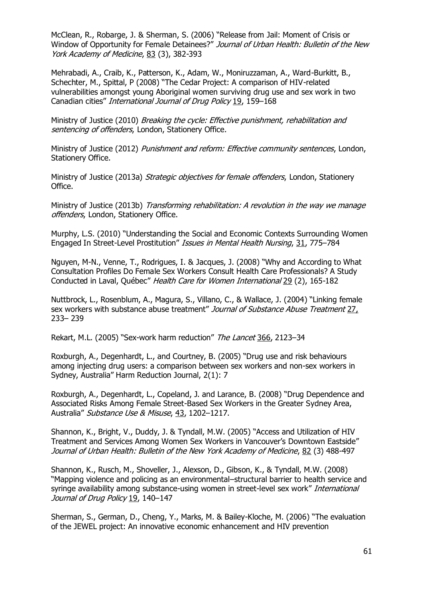McClean, R., Robarge, J. & Sherman, S. (2006) "Release from Jail: Moment of Crisis or Window of Opportunity for Female Detainees?" Journal of Urban Health: Bulletin of the New York Academy of Medicine, 83 (3), 382-393

Mehrabadi, A., Craib, K., Patterson, K., Adam, W., Moniruzzaman, A., Ward-Burkitt, B., Schechter, M., Spittal, P (2008) "The Cedar Project: A comparison of HIV-related vulnerabilities amongst young Aboriginal women surviving drug use and sex work in two Canadian cities" International Journal of Drug Policy 19, 159–168

Ministry of Justice (2010) Breaking the cycle: Effective punishment, rehabilitation and sentencing of offenders, London, Stationery Office.

Ministry of Justice (2012) Punishment and reform: Effective community sentences, London, Stationery Office.

Ministry of Justice (2013a) Strategic objectives for female offenders, London, Stationery Office.

Ministry of Justice (2013b) Transforming rehabilitation: A revolution in the way we manage offenders, London, Stationery Office.

Murphy, L.S. (2010) "Understanding the Social and Economic Contexts Surrounding Women Engaged In Street-Level Prostitution" Issues in Mental Health Nursing, 31, 775-784

Nguyen, M-N., Venne, T., Rodrigues, I. & Jacques, J. (2008) "Why and According to What Consultation Profiles Do Female Sex Workers Consult Health Care Professionals? A Study Conducted in Laval, Québec" Health Care for Women International 29 (2), 165-182

Nuttbrock, L., Rosenblum, A., Magura, S., Villano, C., & Wallace, J. (2004) "Linking female sex workers with substance abuse treatment" Journal of Substance Abuse Treatment 27, 233– 239

Rekart, M.L. (2005) "Sex-work harm reduction" The Lancet 366, 2123-34

Roxburgh, A., Degenhardt, L., and Courtney, B. (2005) "Drug use and risk behaviours among injecting drug users: a comparison between sex workers and non-sex workers in Sydney, Australia" Harm Reduction Journal, 2(1): 7

Roxburgh, A., Degenhardt, L., Copeland, J. and Larance, B. (2008) "Drug Dependence and Associated Risks Among Female Street-Based Sex Workers in the Greater Sydney Area, Australia" Substance Use & Misuse, 43, 1202–1217.

Shannon, K., Bright, V., Duddy, J. & Tyndall, M.W. (2005) "Access and Utilization of HIV Treatment and Services Among Women Sex Workers in Vancouver's Downtown Eastside" Journal of Urban Health: Bulletin of the New York Academy of Medicine, 82 (3) 488-497

Shannon, K., Rusch, M., Shoveller, J., Alexson, D., Gibson, K., & Tyndall, M.W. (2008) "Mapping violence and policing as an environmental–structural barrier to health service and syringe availability among substance-using women in street-level sex work" International Journal of Drug Policy 19, 140-147

Sherman, S., German, D., Cheng, Y., Marks, M. & Bailey-Kloche, M. (2006) "The evaluation of the JEWEL project: An innovative economic enhancement and HIV prevention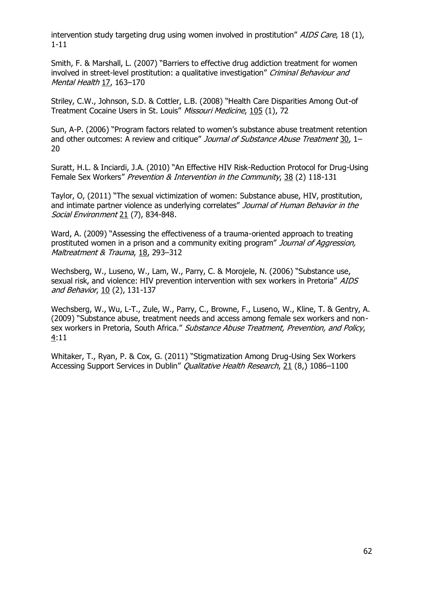intervention study targeting drug using women involved in prostitution" AIDS Care, 18 (1), 1-11

Smith, F. & Marshall, L. (2007) "Barriers to effective drug addiction treatment for women involved in street-level prostitution: a qualitative investigation" Criminal Behaviour and Mental Health 17, 163–170

Striley, C.W., Johnson, S.D. & Cottler, L.B. (2008) "Health Care Disparities Among Out-of Treatment Cocaine Users in St. Louis" Missouri Medicine, 105 (1), 72

Sun, A-P. (2006) "Program factors related to women's substance abuse treatment retention and other outcomes: A review and critique" Journal of Substance Abuse Treatment 30, 1-20

Suratt, H.L. & Inciardi, J.A. (2010) "An Effective HIV Risk-Reduction Protocol for Drug-Using Female Sex Workers" Prevention & Intervention in the Community, 38 (2) 118-131

Taylor, O, (2011) "The sexual victimization of women: Substance abuse, HIV, prostitution, and intimate partner violence as underlying correlates" Journal of Human Behavior in the Social Environment 21 (7), 834-848.

Ward, A. (2009) "Assessing the effectiveness of a trauma-oriented approach to treating prostituted women in a prison and a community exiting program" Journal of Aggression, Maltreatment & Trauma, 18, 293-312

Wechsberg, W., Luseno, W., Lam, W., Parry, C. & Morojele, N. (2006) "Substance use, sexual risk, and violence: HIV prevention intervention with sex workers in Pretoria" AIDS and Behavior, 10 (2), 131-137

Wechsberg, W., Wu, L-T., Zule, W., Parry, C., Browne, F., Luseno, W., Kline, T. & Gentry, A. (2009) "Substance abuse, treatment needs and access among female sex workers and nonsex workers in Pretoria, South Africa." Substance Abuse Treatment, Prevention, and Policy, 4:11

Whitaker, T., Ryan, P. & Cox, G. (2011) "Stigmatization Among Drug-Using Sex Workers Accessing Support Services in Dublin" Qualitative Health Research, 21 (8,) 1086–1100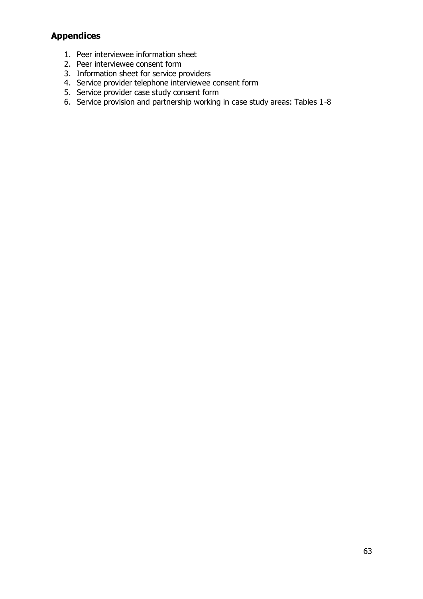# **Appendices**

- 1. Peer interviewee information sheet
- 2. Peer interviewee consent form
- 3. Information sheet for service providers
- 4. Service provider telephone interviewee consent form
- 5. Service provider case study consent form
- 6. Service provision and partnership working in case study areas: Tables 1-8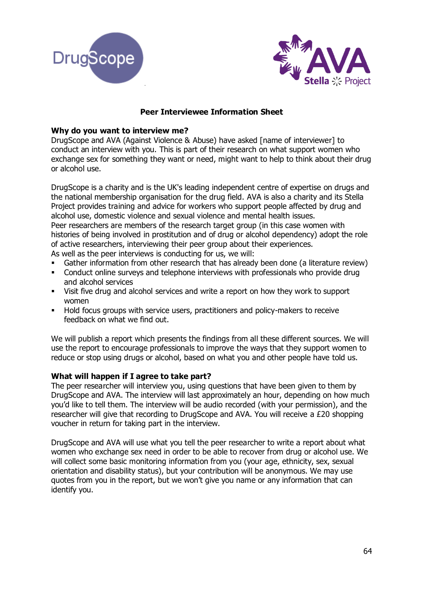



# **Peer Interviewee Information Sheet**

# **Why do you want to interview me?**

DrugScope and AVA (Against Violence & Abuse) have asked [name of interviewer] to conduct an interview with you. This is part of their research on what support women who exchange sex for something they want or need, might want to help to think about their drug or alcohol use.

DrugScope is a charity and is the UK's leading independent centre of expertise on drugs and the national membership organisation for the drug field. AVA is also a charity and its Stella Project provides training and advice for workers who support people affected by drug and alcohol use, domestic violence and sexual violence and mental health issues. Peer researchers are members of the research target group (in this case women with histories of being involved in prostitution and of drug or alcohol dependency) adopt the role of active researchers, interviewing their peer group about their experiences. As well as the peer interviews is conducting for us, we will:

- Gather information from other research that has already been done (a literature review)
- Conduct online surveys and telephone interviews with professionals who provide drug and alcohol services
- Visit five drug and alcohol services and write a report on how they work to support women
- Hold focus groups with service users, practitioners and policy-makers to receive feedback on what we find out.

We will publish a report which presents the findings from all these different sources. We will use the report to encourage professionals to improve the ways that they support women to reduce or stop using drugs or alcohol, based on what you and other people have told us.

### **What will happen if I agree to take part?**

The peer researcher will interview you, using questions that have been given to them by DrugScope and AVA. The interview will last approximately an hour, depending on how much you'd like to tell them. The interview will be audio recorded (with your permission), and the researcher will give that recording to DrugScope and AVA. You will receive a £20 shopping voucher in return for taking part in the interview.

DrugScope and AVA will use what you tell the peer researcher to write a report about what women who exchange sex need in order to be able to recover from drug or alcohol use. We will collect some basic monitoring information from you (your age, ethnicity, sex, sexual orientation and disability status), but your contribution will be anonymous. We may use quotes from you in the report, but we won't give you name or any information that can identify you.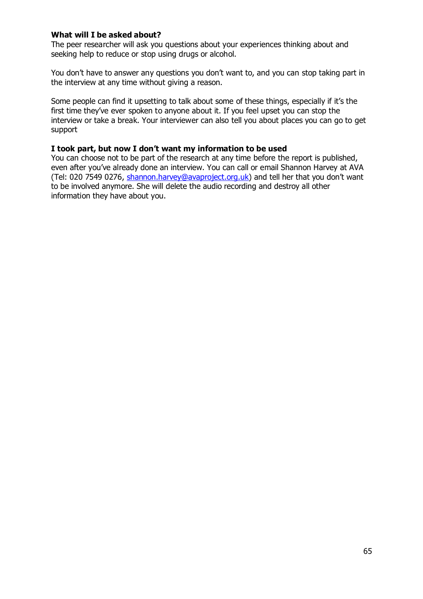### **What will I be asked about?**

The peer researcher will ask you questions about your experiences thinking about and seeking help to reduce or stop using drugs or alcohol.

You don't have to answer any questions you don't want to, and you can stop taking part in the interview at any time without giving a reason.

Some people can find it upsetting to talk about some of these things, especially if it's the first time they've ever spoken to anyone about it. If you feel upset you can stop the interview or take a break. Your interviewer can also tell you about places you can go to get support

### **I took part, but now I don't want my information to be used**

You can choose not to be part of the research at any time before the report is published, even after you've already done an interview. You can call or email Shannon Harvey at AVA (Tel: 020 7549 0276, [shannon.harvey@avaproject.org.uk](mailto:shannon.harvey@avaproject.org.uk)) and tell her that you don't want to be involved anymore. She will delete the audio recording and destroy all other information they have about you.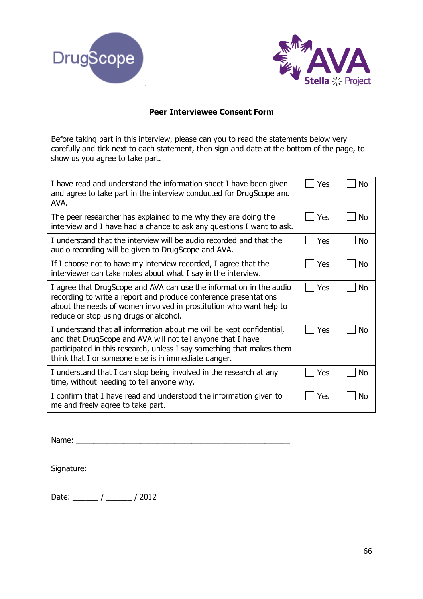



# **Peer Interviewee Consent Form**

Before taking part in this interview, please can you to read the statements below very carefully and tick next to each statement, then sign and date at the bottom of the page, to show us you agree to take part.

| I have read and understand the information sheet I have been given<br>and agree to take part in the interview conducted for DrugScope and<br>AVA.                                                                                                                     | Yes | <b>No</b>      |
|-----------------------------------------------------------------------------------------------------------------------------------------------------------------------------------------------------------------------------------------------------------------------|-----|----------------|
| The peer researcher has explained to me why they are doing the<br>interview and I have had a chance to ask any questions I want to ask.                                                                                                                               | Yes | N <sub>O</sub> |
| I understand that the interview will be audio recorded and that the<br>audio recording will be given to DrugScope and AVA.                                                                                                                                            | Yes | <b>No</b>      |
| If I choose not to have my interview recorded, I agree that the<br>interviewer can take notes about what I say in the interview.                                                                                                                                      | Yes | <b>No</b>      |
| I agree that DrugScope and AVA can use the information in the audio<br>recording to write a report and produce conference presentations<br>about the needs of women involved in prostitution who want help to<br>reduce or stop using drugs or alcohol.               | Yes | No             |
| I understand that all information about me will be kept confidential,<br>and that DrugScope and AVA will not tell anyone that I have<br>participated in this research, unless I say something that makes them<br>think that I or someone else is in immediate danger. | Yes | No             |
| I understand that I can stop being involved in the research at any<br>time, without needing to tell anyone why.                                                                                                                                                       | Yes | <b>No</b>      |
| I confirm that I have read and understood the information given to<br>me and freely agree to take part.                                                                                                                                                               | Yes | No             |

Name:

Signature: \_\_\_\_\_\_\_\_\_\_\_\_\_\_\_\_\_\_\_\_\_\_\_\_\_\_\_\_\_\_\_\_\_\_\_\_\_\_\_\_\_\_\_\_\_\_\_

Date: \_\_\_\_\_\_ / \_\_\_\_\_\_ / 2012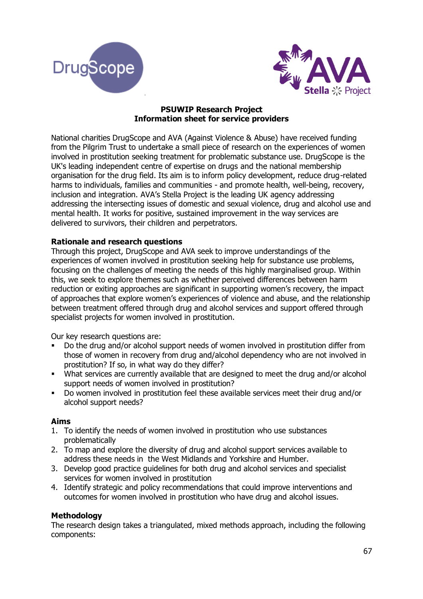



### **PSUWIP Research Project Information sheet for service providers**

National charities DrugScope and AVA (Against Violence & Abuse) have received funding from the Pilgrim Trust to undertake a small piece of research on the experiences of women involved in prostitution seeking treatment for problematic substance use. DrugScope is the UK's leading independent centre of expertise on drugs and the national membership organisation for the drug field. Its aim is to inform policy development, reduce drug-related harms to individuals, families and communities - and promote health, well-being, recovery, inclusion and integration. AVA's Stella Project is the leading UK agency addressing addressing the intersecting issues of domestic and sexual violence, drug and alcohol use and mental health. It works for positive, sustained improvement in the way services are delivered to survivors, their children and perpetrators.

# **Rationale and research questions**

Through this project, DrugScope and AVA seek to improve understandings of the experiences of women involved in prostitution seeking help for substance use problems, focusing on the challenges of meeting the needs of this highly marginalised group. Within this, we seek to explore themes such as whether perceived differences between harm reduction or exiting approaches are significant in supporting women's recovery, the impact of approaches that explore women's experiences of violence and abuse, and the relationship between treatment offered through drug and alcohol services and support offered through specialist projects for women involved in prostitution.

Our key research questions are:

- Do the drug and/or alcohol support needs of women involved in prostitution differ from those of women in recovery from drug and/alcohol dependency who are not involved in prostitution? If so, in what way do they differ?
- What services are currently available that are designed to meet the drug and/or alcohol support needs of women involved in prostitution?
- Do women involved in prostitution feel these available services meet their drug and/or alcohol support needs?

### **Aims**

- 1. To identify the needs of women involved in prostitution who use substances problematically
- 2. To map and explore the diversity of drug and alcohol support services available to address these needs in the West Midlands and Yorkshire and Humber.
- 3. Develop good practice guidelines for both drug and alcohol services and specialist services for women involved in prostitution
- 4. Identify strategic and policy recommendations that could improve interventions and outcomes for women involved in prostitution who have drug and alcohol issues.

### **Methodology**

The research design takes a triangulated, mixed methods approach, including the following components: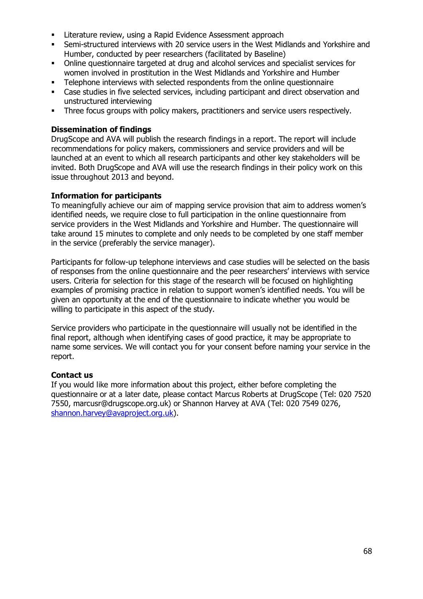- **EXECTE Literature review, using a Rapid Evidence Assessment approach**
- Semi-structured interviews with 20 service users in the West Midlands and Yorkshire and Humber, conducted by peer researchers (facilitated by Baseline)
- Online questionnaire targeted at drug and alcohol services and specialist services for women involved in prostitution in the West Midlands and Yorkshire and Humber
- Telephone interviews with selected respondents from the online questionnaire<br>■ Case studies in five selected services, including particinant and direct observati
- Case studies in five selected services, including participant and direct observation and unstructured interviewing
- Three focus groups with policy makers, practitioners and service users respectively.

# **Dissemination of findings**

DrugScope and AVA will publish the research findings in a report. The report will include recommendations for policy makers, commissioners and service providers and will be launched at an event to which all research participants and other key stakeholders will be invited. Both DrugScope and AVA will use the research findings in their policy work on this issue throughout 2013 and beyond.

## **Information for participants**

To meaningfully achieve our aim of mapping service provision that aim to address women's identified needs, we require close to full participation in the online questionnaire from service providers in the West Midlands and Yorkshire and Humber. The questionnaire will take around 15 minutes to complete and only needs to be completed by one staff member in the service (preferably the service manager).

Participants for follow-up telephone interviews and case studies will be selected on the basis of responses from the online questionnaire and the peer researchers' interviews with service users. Criteria for selection for this stage of the research will be focused on highlighting examples of promising practice in relation to support women's identified needs. You will be given an opportunity at the end of the questionnaire to indicate whether you would be willing to participate in this aspect of the study.

Service providers who participate in the questionnaire will usually not be identified in the final report, although when identifying cases of good practice, it may be appropriate to name some services. We will contact you for your consent before naming your service in the report.

### **Contact us**

If you would like more information about this project, either before completing the questionnaire or at a later date, please contact Marcus Roberts at DrugScope (Tel: 020 7520 7550, marcusr@drugscope.org.uk) or Shannon Harvey at AVA (Tel: 020 7549 0276, [shannon.harvey@avaproject.org.uk\)](mailto:shannon.harvey@avaproject.org.uk).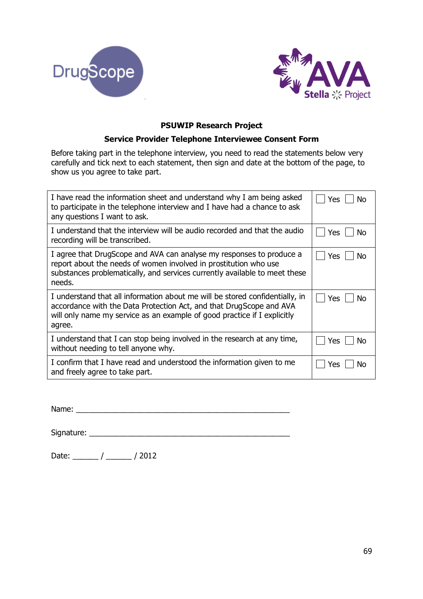



## **PSUWIP Research Project**

### **Service Provider Telephone Interviewee Consent Form**

Before taking part in the telephone interview, you need to read the statements below very carefully and tick next to each statement, then sign and date at the bottom of the page, to show us you agree to take part.

| I have read the information sheet and understand why I am being asked<br>to participate in the telephone interview and I have had a chance to ask<br>any questions I want to ask.                                                         | <b>Yes</b><br>N٥ |
|-------------------------------------------------------------------------------------------------------------------------------------------------------------------------------------------------------------------------------------------|------------------|
| I understand that the interview will be audio recorded and that the audio                                                                                                                                                                 | Yes              |
| recording will be transcribed.                                                                                                                                                                                                            | No               |
| I agree that DrugScope and AVA can analyse my responses to produce a<br>report about the needs of women involved in prostitution who use<br>substances problematically, and services currently available to meet these<br>needs.          | <b>Yes</b><br>No |
| I understand that all information about me will be stored confidentially, in<br>accordance with the Data Protection Act, and that DrugScope and AVA<br>will only name my service as an example of good practice if I explicitly<br>agree. | Yes<br>No        |
| I understand that I can stop being involved in the research at any time,                                                                                                                                                                  | Yes              |
| without needing to tell anyone why.                                                                                                                                                                                                       | Nο               |
| I confirm that I have read and understood the information given to me                                                                                                                                                                     | Yes              |
| and freely agree to take part.                                                                                                                                                                                                            | NΩ               |

Name: \_\_\_\_\_\_\_\_\_\_\_\_\_\_\_\_\_\_\_\_\_\_\_\_\_\_\_\_\_\_\_\_\_\_\_\_\_\_\_\_\_\_\_\_\_\_\_\_\_\_

Signature: \_\_\_\_\_\_\_\_\_\_\_\_\_\_\_\_\_\_\_\_\_\_\_\_\_\_\_\_\_\_\_\_\_\_\_\_\_\_\_\_\_\_\_\_\_\_\_

Date: \_\_\_\_\_\_ / \_\_\_\_\_\_ / 2012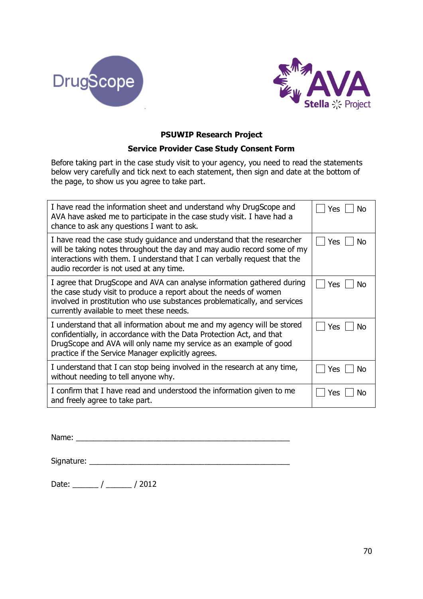



## **PSUWIP Research Project**

### **Service Provider Case Study Consent Form**

Before taking part in the case study visit to your agency, you need to read the statements below very carefully and tick next to each statement, then sign and date at the bottom of the page, to show us you agree to take part.

| I have read the information sheet and understand why DrugScope and<br>AVA have asked me to participate in the case study visit. I have had a<br>chance to ask any questions I want to ask.                                                                                 | Yes<br>No        |
|----------------------------------------------------------------------------------------------------------------------------------------------------------------------------------------------------------------------------------------------------------------------------|------------------|
| I have read the case study guidance and understand that the researcher<br>will be taking notes throughout the day and may audio record some of my<br>interactions with them. I understand that I can verbally request that the<br>audio recorder is not used at any time.  | Yes<br>Nο        |
| I agree that DrugScope and AVA can analyse information gathered during<br>the case study visit to produce a report about the needs of women<br>involved in prostitution who use substances problematically, and services<br>currently available to meet these needs.       | Yes<br>No        |
| I understand that all information about me and my agency will be stored<br>confidentially, in accordance with the Data Protection Act, and that<br>DrugScope and AVA will only name my service as an example of good<br>practice if the Service Manager explicitly agrees. | Yes<br>No        |
| I understand that I can stop being involved in the research at any time,<br>without needing to tell anyone why.                                                                                                                                                            | <b>Yes</b><br>N٥ |
| I confirm that I have read and understood the information given to me<br>and freely agree to take part.                                                                                                                                                                    | Yes<br>Nο        |

Name: \_\_\_\_\_\_\_\_\_\_\_\_\_\_\_\_\_\_\_\_\_\_\_\_\_\_\_\_\_\_\_\_\_\_\_\_\_\_\_\_\_\_\_\_\_\_\_\_\_\_

| Signature: |  |
|------------|--|
|            |  |
|            |  |

Date: \_\_\_\_\_\_ / \_\_\_\_\_\_ / 2012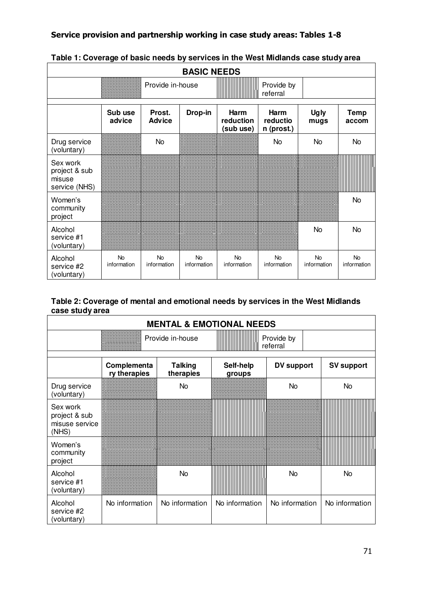# **Service provision and partnership working in case study areas: Tables 1-8**

| <b>BASIC NEEDS</b>                                   |                          |                          |                          |                                       |                                       |                          |                          |
|------------------------------------------------------|--------------------------|--------------------------|--------------------------|---------------------------------------|---------------------------------------|--------------------------|--------------------------|
|                                                      | Provide in-house         |                          |                          | Provide by<br>referral                |                                       |                          |                          |
|                                                      | Sub use<br>advice        | Prost.<br><b>Advice</b>  | Drop-in                  | <b>Harm</b><br>reduction<br>(sub use) | <b>Harm</b><br>reductio<br>n (prost.) | <b>Ugly</b><br>mugs      | <b>Temp</b><br>accom     |
| Drug service<br>(voluntary)                          |                          | <b>No</b>                |                          |                                       | No.                                   | <b>No</b>                | No                       |
| Sex work<br>project & sub<br>misuse<br>service (NHS) |                          |                          |                          |                                       |                                       |                          |                          |
| Women's<br>community<br>project                      |                          |                          |                          |                                       |                                       |                          | No.                      |
| Alcohol<br>service #1<br>(voluntary)                 |                          |                          |                          |                                       |                                       | No                       | No                       |
| Alcohol<br>service #2<br>(voluntary)                 | <b>No</b><br>information | <b>No</b><br>information | <b>No</b><br>information | <b>No</b><br>information              | <b>No</b><br>information              | <b>No</b><br>information | <b>No</b><br>information |

# **Table 1: Coverage of basic needs by services in the West Midlands case study area**

# **Table 2: Coverage of mental and emotional needs by services in the West Midlands case study area**

| <b>MENTAL &amp; EMOTIONAL NEEDS</b>                  |                             |                             |                        |                |                   |
|------------------------------------------------------|-----------------------------|-----------------------------|------------------------|----------------|-------------------|
|                                                      |                             | Provide in-house            | Provide by<br>referral |                |                   |
|                                                      | Complementa<br>ry therapies | <b>Talking</b><br>therapies | Self-help<br>groups    | DV support     | <b>SV support</b> |
| Drug service<br>(voluntary)                          |                             | No                          |                        | <b>No</b>      | <b>No</b>         |
| Sex work<br>project & sub<br>misuse service<br>(NHS) |                             |                             |                        |                |                   |
| Women's<br>community<br>project                      |                             |                             |                        |                |                   |
| Alcohol<br>service #1<br>(voluntary)                 |                             | <b>No</b>                   |                        | <b>No</b>      | <b>No</b>         |
| Alcohol<br>service #2<br>(voluntary)                 | No information              | No information              | No information         | No information | No information    |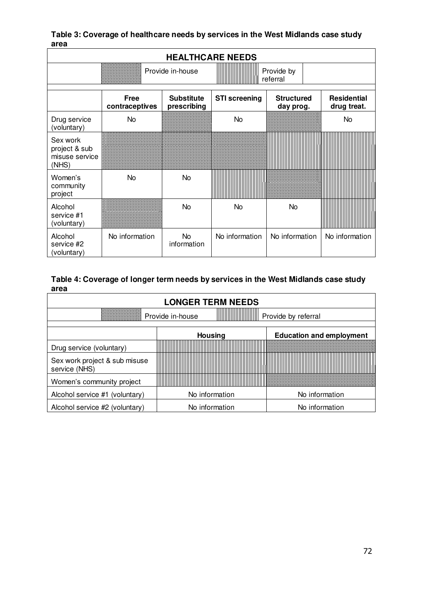**Table 3: Coverage of healthcare needs by services in the West Midlands case study area** 

| <b>HEALTHCARE NEEDS</b>                              |                        |                                  |                      |                                |                                   |  |
|------------------------------------------------------|------------------------|----------------------------------|----------------------|--------------------------------|-----------------------------------|--|
|                                                      | Provide in-house       |                                  |                      | Provide by<br>referral         |                                   |  |
|                                                      | Free<br>contraceptives | <b>Substitute</b><br>prescribing | <b>STI</b> screening | <b>Structured</b><br>day prog. | <b>Residential</b><br>drug treat. |  |
| Drug service<br>(voluntary)                          | <b>No</b>              |                                  | No                   |                                | <b>No</b>                         |  |
| Sex work<br>project & sub<br>misuse service<br>(NHS) |                        |                                  |                      |                                |                                   |  |
| Women's<br>community<br>project                      | <b>No</b>              | <b>No</b>                        |                      |                                |                                   |  |
| Alcohol<br>service #1<br>(voluntary)                 |                        | <b>No</b>                        | No                   | <b>No</b>                      |                                   |  |
| Alcohol<br>service #2<br>(voluntary)                 | No information         | No.<br>information               | No information       | No information                 | No information                    |  |

## **Table 4: Coverage of longer term needs by services in the West Midlands case study area**

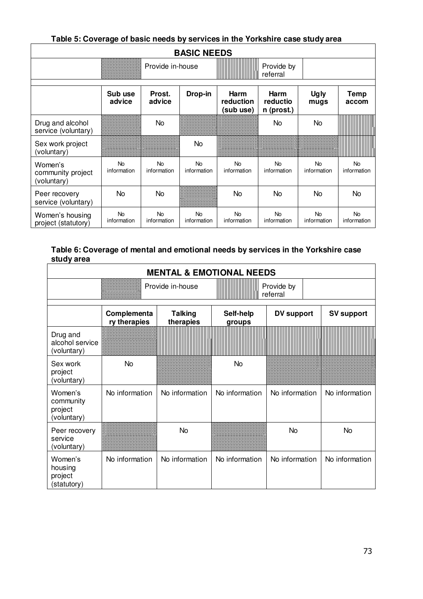| able 5: Coverage of basic needs by services in the Yorkshire case study area |                          |                                            |                          |                                       |                                       |                          |                          |
|------------------------------------------------------------------------------|--------------------------|--------------------------------------------|--------------------------|---------------------------------------|---------------------------------------|--------------------------|--------------------------|
| <b>BASIC NEEDS</b>                                                           |                          |                                            |                          |                                       |                                       |                          |                          |
|                                                                              |                          | Provide in-house<br>Provide by<br>referral |                          |                                       |                                       |                          |                          |
|                                                                              | Sub use<br>advice        | Prost.<br>advice                           | Drop-in                  | <b>Harm</b><br>reduction<br>(sub use) | <b>Harm</b><br>reductio<br>n (prost.) | <b>Ugly</b><br>mugs      | Temp<br>accom            |
| Drug and alcohol<br>service (voluntary)                                      |                          | No                                         |                          |                                       | No.                                   | No                       |                          |
| Sex work project<br>(voluntary)                                              |                          |                                            | No                       |                                       |                                       |                          |                          |
| Women's<br>community project<br>(voluntary)                                  | <b>No</b><br>information | <b>No</b><br>information                   | <b>No</b><br>information | <b>No</b><br>information              | <b>No</b><br>information              | <b>No</b><br>information | <b>No</b><br>information |
| Peer recovery<br>service (voluntary)                                         | No                       | No                                         |                          | No.                                   | No.                                   | No.                      | No.                      |
| Women's housing<br>project (statutory)                                       | <b>No</b><br>information | <b>No</b><br>information                   | <b>No</b><br>information | <b>No</b><br>information              | <b>No</b><br>information              | <b>No</b><br>information | <b>No</b><br>information |

### **Table 5: Coverage of basic needs by services in the Yorkshire case study area**

# **Table 6: Coverage of mental and emotional needs by services in the Yorkshire case study area**

| <b>MENTAL &amp; EMOTIONAL NEEDS</b>            |                             |                             |                        |                   |                   |
|------------------------------------------------|-----------------------------|-----------------------------|------------------------|-------------------|-------------------|
|                                                |                             | Provide in-house            | Provide by<br>referral |                   |                   |
|                                                | Complementa<br>ry therapies | <b>Talking</b><br>therapies | Self-help<br>groups    | <b>DV support</b> | <b>SV support</b> |
| Drug and<br>alcohol service<br>(voluntary)     |                             |                             |                        |                   |                   |
| Sex work<br>project<br>(voluntary)             | <b>No</b>                   |                             | <b>No</b>              |                   |                   |
| Women's<br>community<br>project<br>(voluntary) | No information              | No information              | No information         | No information    | No information    |
| Peer recovery<br>service<br>(voluntary)        |                             | No                          |                        | No                | No                |
| Women's<br>housing<br>project<br>(statutory)   | No information              | No information              | No information         | No information    | No information    |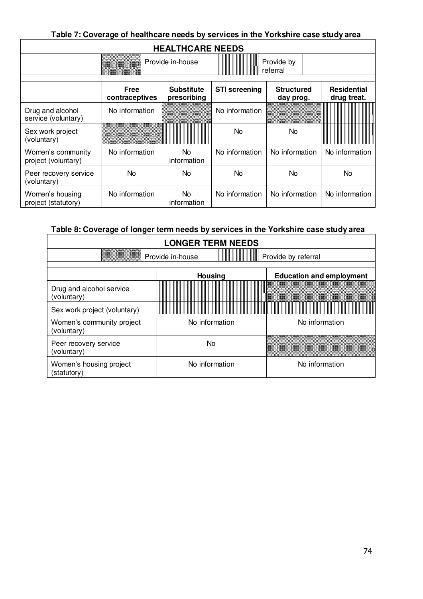| Table 7: Coverage of healthcare needs by services in the Yorkshire case study area |                        |                                  |                      |                                |                                   |
|------------------------------------------------------------------------------------|------------------------|----------------------------------|----------------------|--------------------------------|-----------------------------------|
| <b>HEALTHCARE NEEDS</b>                                                            |                        |                                  |                      |                                |                                   |
| Provide in-house<br>Provide by<br>referral                                         |                        |                                  |                      |                                |                                   |
|                                                                                    | Free<br>contraceptives | <b>Substitute</b><br>prescribing | <b>STI</b> screening | <b>Structured</b><br>day prog. | <b>Residential</b><br>drug treat. |
| Drug and alcohol<br>service (voluntary)                                            | No information         |                                  | No information       |                                |                                   |
| Sex work project<br>(voluntary)                                                    |                        |                                  | <b>No</b>            | No.                            |                                   |
| Women's community<br>project (voluntary)                                           | No information         | No<br>information                | No information       | No information                 | No information                    |
| Peer recovery service<br>(voluntary)                                               | No                     | No.                              | <b>No</b>            | No                             | No                                |
| Women's housing<br>project (statutory)                                             | No information         | No.<br>information               | No information       | No information                 | No information                    |

| Table 8: Coverage of longer term needs by services in the Yorkshire case study area |                |                                 |  |  |  |
|-------------------------------------------------------------------------------------|----------------|---------------------------------|--|--|--|
| <b>LONGER TERM NEEDS</b>                                                            |                |                                 |  |  |  |
| Provide in-house<br>Provide by referral                                             |                |                                 |  |  |  |
|                                                                                     | <b>Housing</b> | <b>Education and employment</b> |  |  |  |
| Drug and alcohol service<br>(voluntary)                                             |                |                                 |  |  |  |
| Sex work project (voluntary)                                                        |                |                                 |  |  |  |
| Women's community project<br>(voluntary)                                            | No information | No information                  |  |  |  |
| Peer recovery service<br>(voluntary)                                                | No.            |                                 |  |  |  |
| Women's housing project<br>(statutory)                                              | No information | No information                  |  |  |  |